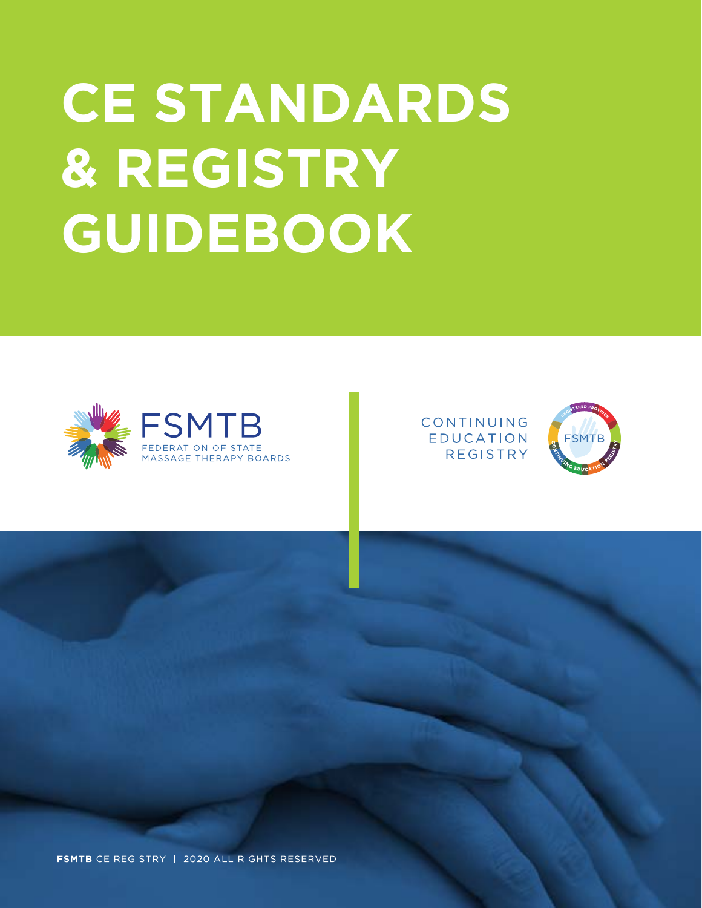# **CE STANDARDS & REGISTRY GUIDEBOOK**



CONTINUING **EDUCATION REGISTRY** 

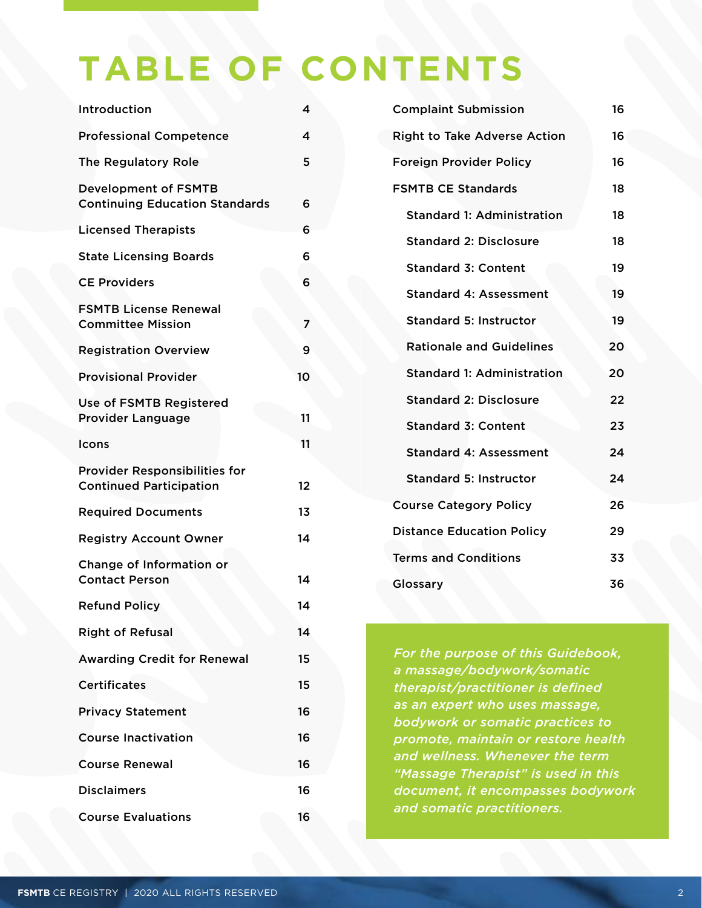# **TABLE OF CONTENTS**

| Introduction                                                           | 4  |
|------------------------------------------------------------------------|----|
| <b>Professional Competence</b>                                         | 4  |
| <b>The Regulatory Role</b>                                             | 5  |
| <b>Development of FSMTB</b><br><b>Continuing Education Standards</b>   | 6  |
| <b>Licensed Therapists</b>                                             | 6  |
| <b>State Licensing Boards</b>                                          | 6  |
| <b>CE Providers</b>                                                    | 6  |
| <b>FSMTB License Renewal</b><br><b>Committee Mission</b>               | 7  |
| <b>Registration Overview</b>                                           | 9  |
| <b>Provisional Provider</b>                                            | 10 |
| <b>Use of FSMTB Registered</b><br><b>Provider Language</b>             | 11 |
| Icons                                                                  | 11 |
| <b>Provider Responsibilities for</b><br><b>Continued Participation</b> | 12 |
| <b>Required Documents</b>                                              | 13 |
| <b>Registry Account Owner</b>                                          | 14 |
| Change of Information or<br><b>Contact Person</b>                      | 14 |
| <b>Refund Policy</b>                                                   | 14 |
| <b>Right of Refusal</b>                                                | 14 |
| <b>Awarding Credit for Renewal</b>                                     | 15 |
| <b>Certificates</b>                                                    | 15 |
| <b>Privacy Statement</b>                                               | 16 |
| <b>Course Inactivation</b>                                             | 16 |
| <b>Course Renewal</b>                                                  | 16 |
| <b>Disclaimers</b>                                                     | 16 |
| <b>Course Evaluations</b>                                              | 16 |

| <b>Complaint Submission</b>         |    |  |
|-------------------------------------|----|--|
| <b>Right to Take Adverse Action</b> | 16 |  |
| <b>Foreign Provider Policy</b>      | 16 |  |
| <b>FSMTB CE Standards</b>           | 18 |  |
| <b>Standard 1: Administration</b>   | 18 |  |
| <b>Standard 2: Disclosure</b>       | 18 |  |
| <b>Standard 3: Content</b>          | 19 |  |
| <b>Standard 4: Assessment</b>       | 19 |  |
| <b>Standard 5: Instructor</b>       | 19 |  |
| <b>Rationale and Guidelines</b>     | 20 |  |
| <b>Standard 1: Administration</b>   | 20 |  |
| <b>Standard 2: Disclosure</b>       | 22 |  |
| <b>Standard 3: Content</b>          | 23 |  |
| <b>Standard 4: Assessment</b>       | 24 |  |
| <b>Standard 5: Instructor</b>       | 24 |  |
| <b>Course Category Policy</b>       | 26 |  |
| <b>Distance Education Policy</b>    |    |  |
| <b>Terms and Conditions</b>         |    |  |
| Glossary                            |    |  |

*For the purpose of this Guidebook, a massage/bodywork/somatic therapist/practitioner is defined as an expert who uses massage, bodywork or somatic practices to promote, maintain or restore health and wellness. Whenever the term "Massage Therapist" is used in this document, it encompasses bodywork and somatic practitioners.*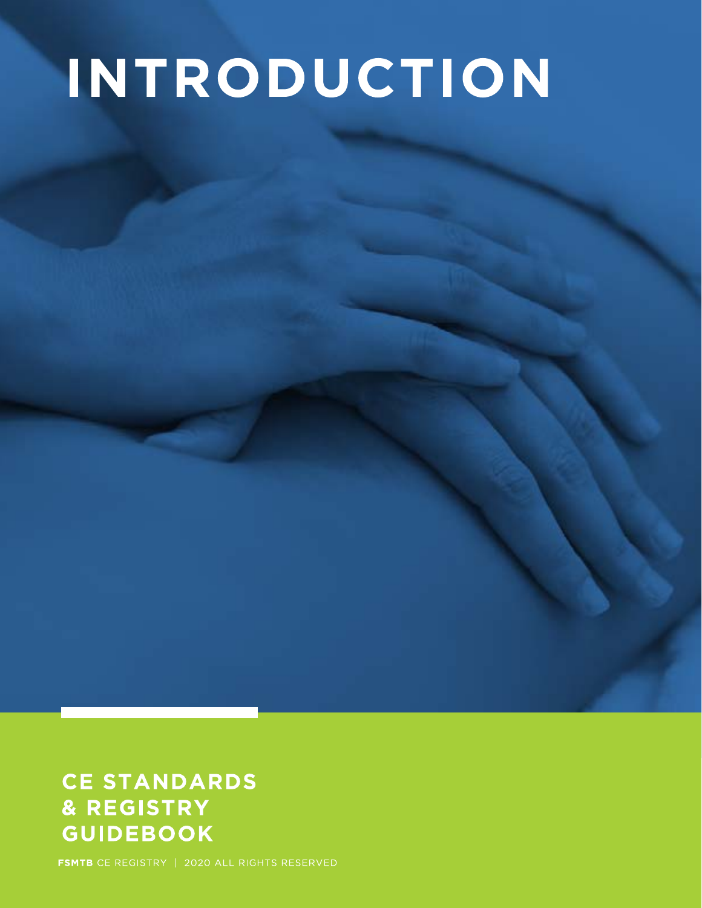# INTRODUCTION

## **CE STANDARDS** & REGISTRY **GUIDEBOOK**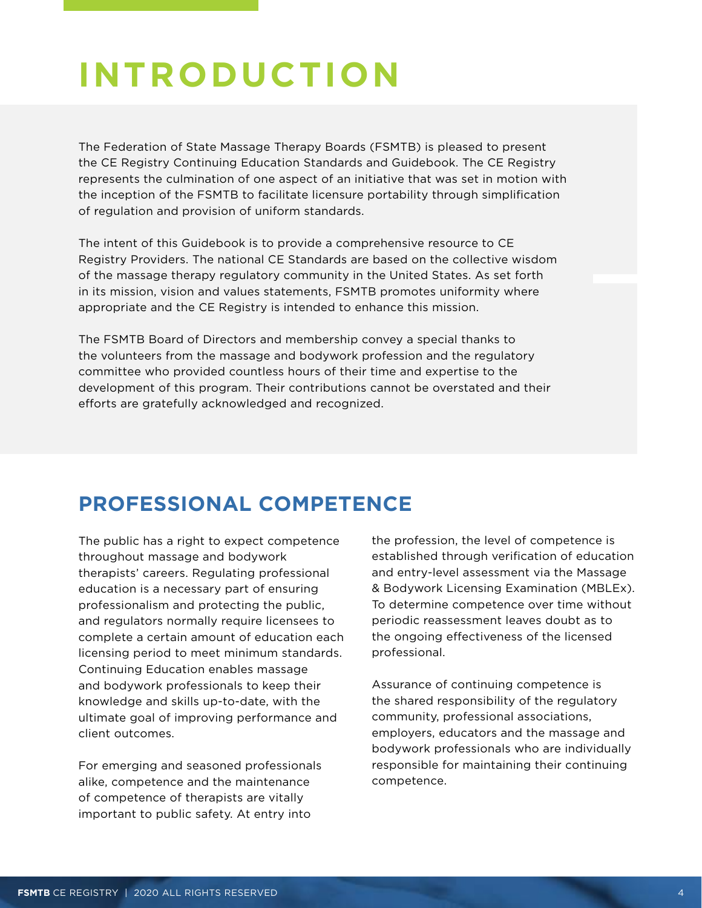## <span id="page-3-0"></span>**INTRODUCTION**

The Federation of State Massage Therapy Boards (FSMTB) is pleased to present the CE Registry Continuing Education Standards and Guidebook. The CE Registry represents the culmination of one aspect of an initiative that was set in motion with the inception of the FSMTB to facilitate licensure portability through simplification of regulation and provision of uniform standards.

The intent of this Guidebook is to provide a comprehensive resource to CE Registry Providers. The national CE Standards are based on the collective wisdom of the massage therapy regulatory community in the United States. As set forth in its mission, vision and values statements, FSMTB promotes uniformity where appropriate and the CE Registry is intended to enhance this mission.

The FSMTB Board of Directors and membership convey a special thanks to the volunteers from the massage and bodywork profession and the regulatory committee who provided countless hours of their time and expertise to the development of this program. Their contributions cannot be overstated and their efforts are gratefully acknowledged and recognized.

## **PROFESSIONAL COMPETENCE**

The public has a right to expect competence throughout massage and bodywork therapists' careers. Regulating professional education is a necessary part of ensuring professionalism and protecting the public, and regulators normally require licensees to complete a certain amount of education each licensing period to meet minimum standards. Continuing Education enables massage and bodywork professionals to keep their knowledge and skills up-to-date, with the ultimate goal of improving performance and client outcomes.

For emerging and seasoned professionals alike, competence and the maintenance of competence of therapists are vitally important to public safety. At entry into

the profession, the level of competence is established through verification of education and entry-level assessment via the Massage & Bodywork Licensing Examination (MBLEx). To determine competence over time without periodic reassessment leaves doubt as to the ongoing effectiveness of the licensed professional.

Assurance of continuing competence is the shared responsibility of the regulatory community, professional associations, employers, educators and the massage and bodywork professionals who are individually responsible for maintaining their continuing competence.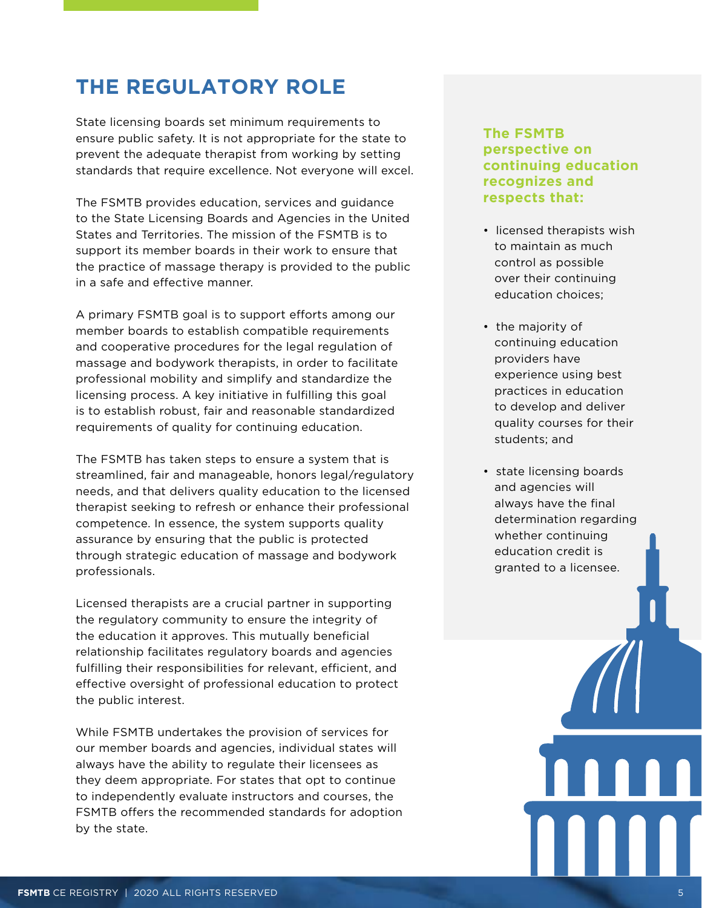## <span id="page-4-0"></span>**THE REGULATORY ROLE**

State licensing boards set minimum requirements to ensure public safety. It is not appropriate for the state to prevent the adequate therapist from working by setting standards that require excellence. Not everyone will excel.

The FSMTB provides education, services and guidance to the State Licensing Boards and Agencies in the United States and Territories. The mission of the FSMTB is to support its member boards in their work to ensure that the practice of massage therapy is provided to the public in a safe and effective manner.

A primary FSMTB goal is to support efforts among our member boards to establish compatible requirements and cooperative procedures for the legal regulation of massage and bodywork therapists, in order to facilitate professional mobility and simplify and standardize the licensing process. A key initiative in fulfilling this goal is to establish robust, fair and reasonable standardized requirements of quality for continuing education.

The FSMTB has taken steps to ensure a system that is streamlined, fair and manageable, honors legal/regulatory needs, and that delivers quality education to the licensed therapist seeking to refresh or enhance their professional competence. In essence, the system supports quality assurance by ensuring that the public is protected through strategic education of massage and bodywork professionals.

Licensed therapists are a crucial partner in supporting the regulatory community to ensure the integrity of the education it approves. This mutually beneficial relationship facilitates regulatory boards and agencies fulfilling their responsibilities for relevant, efficient, and effective oversight of professional education to protect the public interest.

While FSMTB undertakes the provision of services for our member boards and agencies, individual states will always have the ability to regulate their licensees as they deem appropriate. For states that opt to continue to independently evaluate instructors and courses, the FSMTB offers the recommended standards for adoption by the state.

#### **The FSMTB perspective on continuing education recognizes and respects that:**

- licensed therapists wish to maintain as much control as possible over their continuing education choices;
- the majority of continuing education providers have experience using best practices in education to develop and deliver quality courses for their students; and
- state licensing boards and agencies will always have the final determination regarding whether continuing education credit is granted to a licensee.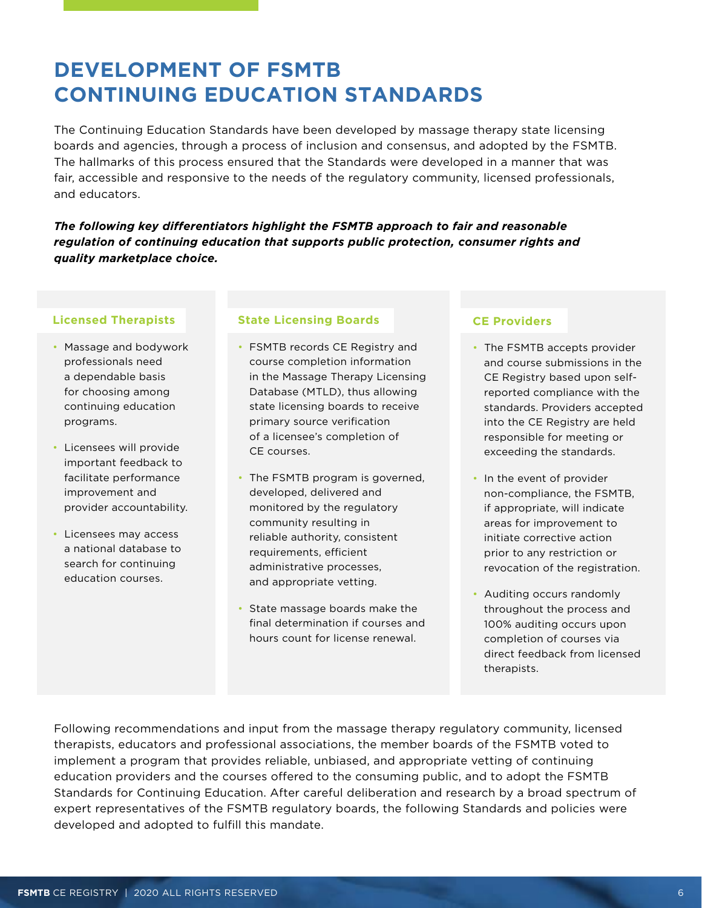## <span id="page-5-0"></span>**DEVELOPMENT OF FSMTB CONTINUING EDUCATION STANDARDS**

The Continuing Education Standards have been developed by massage therapy state licensing boards and agencies, through a process of inclusion and consensus, and adopted by the FSMTB. The hallmarks of this process ensured that the Standards were developed in a manner that was fair, accessible and responsive to the needs of the regulatory community, licensed professionals, and educators.

*The following key differentiators highlight the FSMTB approach to fair and reasonable regulation of continuing education that supports public protection, consumer rights and quality marketplace choice.*

#### **Licensed Therapists**

- Massage and bodywork professionals need a dependable basis for choosing among continuing education programs.
- Licensees will provide important feedback to facilitate performance improvement and provider accountability.
- Licensees may access a national database to search for continuing education courses.

#### **State Licensing Boards**

- FSMTB records CE Registry and course completion information in the Massage Therapy Licensing Database (MTLD), thus allowing state licensing boards to receive primary source verification of a licensee's completion of CE courses.
- The FSMTB program is governed, developed, delivered and monitored by the regulatory community resulting in reliable authority, consistent requirements, efficient administrative processes, and appropriate vetting.
- State massage boards make the final determination if courses and hours count for license renewal.

#### **CE Providers**

- The FSMTB accepts provider and course submissions in the CE Registry based upon selfreported compliance with the standards. Providers accepted into the CE Registry are held responsible for meeting or exceeding the standards.
- In the event of provider non-compliance, the FSMTB, if appropriate, will indicate areas for improvement to initiate corrective action prior to any restriction or revocation of the registration.
- Auditing occurs randomly throughout the process and 100% auditing occurs upon completion of courses via direct feedback from licensed therapists.

Following recommendations and input from the massage therapy regulatory community, licensed therapists, educators and professional associations, the member boards of the FSMTB voted to implement a program that provides reliable, unbiased, and appropriate vetting of continuing education providers and the courses offered to the consuming public, and to adopt the FSMTB Standards for Continuing Education. After careful deliberation and research by a broad spectrum of expert representatives of the FSMTB regulatory boards, the following Standards and policies were developed and adopted to fulfill this mandate.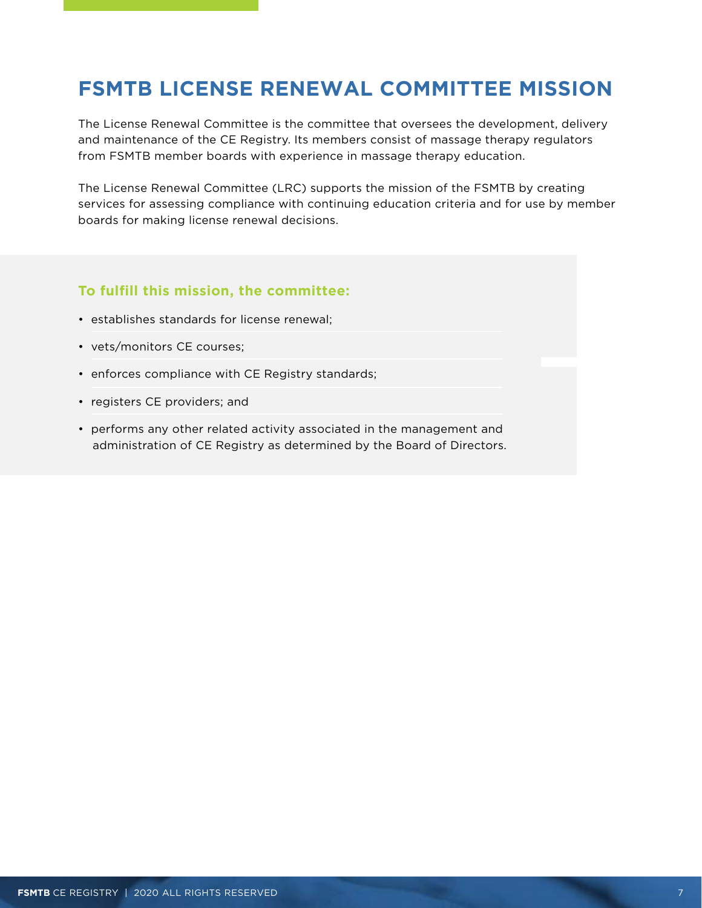## <span id="page-6-0"></span>**FSMTB LICENSE RENEWAL COMMITTEE MISSION**

The License Renewal Committee is the committee that oversees the development, delivery and maintenance of the CE Registry. Its members consist of massage therapy regulators from FSMTB member boards with experience in massage therapy education.

The License Renewal Committee (LRC) supports the mission of the FSMTB by creating services for assessing compliance with continuing education criteria and for use by member boards for making license renewal decisions.

#### **To fulfill this mission, the committee:**

- establishes standards for license renewal;
- vets/monitors CE courses;
- enforces compliance with CE Registry standards;
- registers CE providers; and
- performs any other related activity associated in the management and administration of CE Registry as determined by the Board of Directors.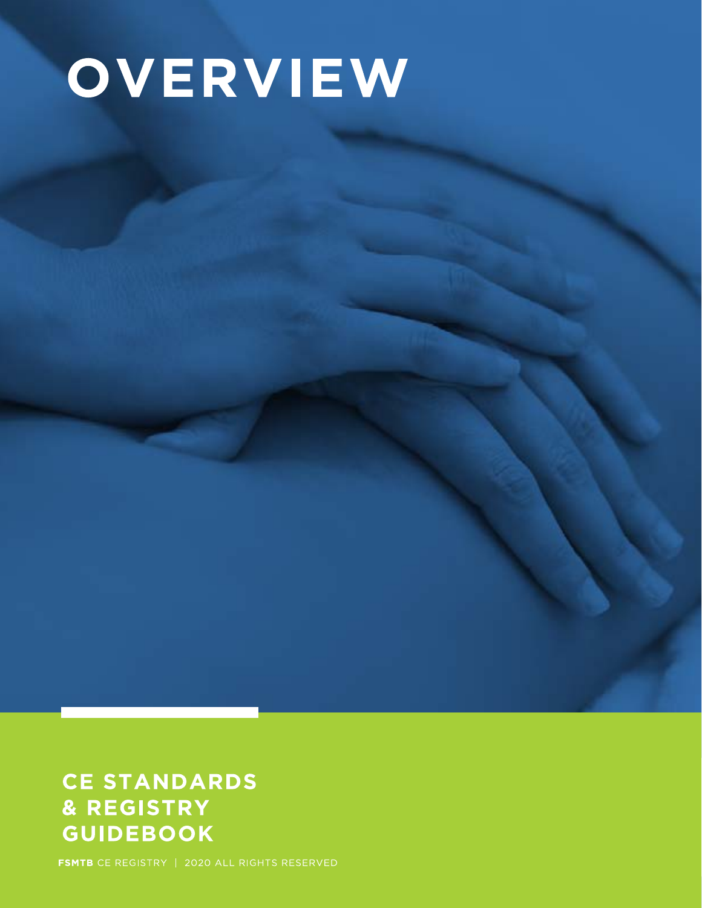# OVERVIEW

## **CE STANDARDS** & REGISTRY **GUIDEBOOK**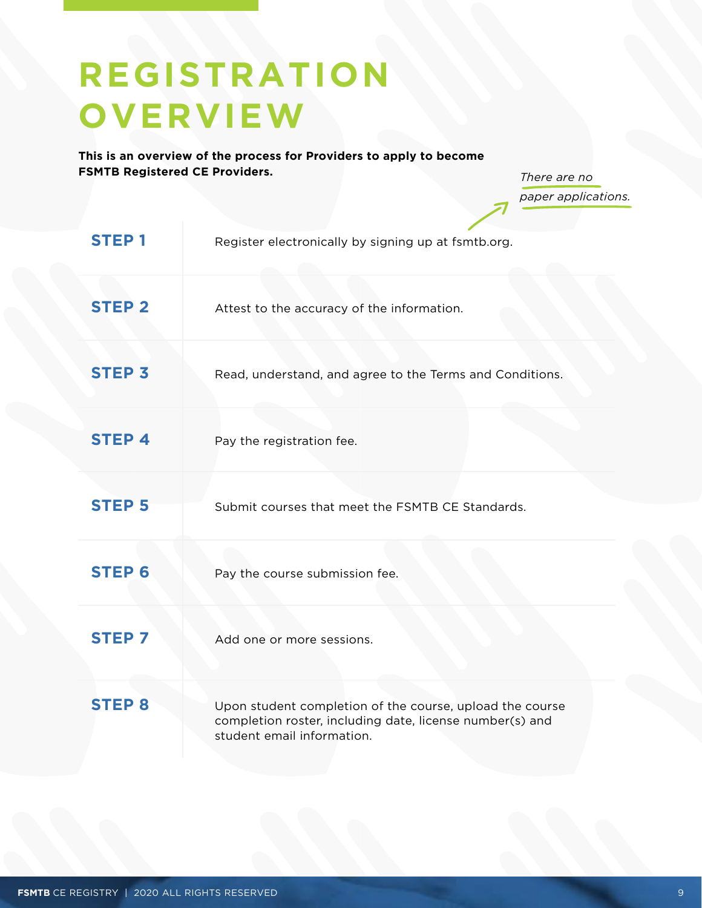## <span id="page-8-0"></span>**REGISTRATION OVERVIEW**

**This is an overview of the process for Providers to apply to become FSMTB Registered CE Providers.**

*There are no paper applications.*

| <b>STEP1</b>  | Register electronically by signing up at fsmtb.org.                                                                                                |
|---------------|----------------------------------------------------------------------------------------------------------------------------------------------------|
| <b>STEP 2</b> | Attest to the accuracy of the information.                                                                                                         |
| <b>STEP 3</b> | Read, understand, and agree to the Terms and Conditions.                                                                                           |
| <b>STEP4</b>  | Pay the registration fee.                                                                                                                          |
| <b>STEP 5</b> | Submit courses that meet the FSMTB CE Standards.                                                                                                   |
| <b>STEP 6</b> | Pay the course submission fee.                                                                                                                     |
| <b>STEP 7</b> | Add one or more sessions.                                                                                                                          |
| <b>STEP 8</b> | Upon student completion of the course, upload the course<br>completion roster, including date, license number(s) and<br>student email information. |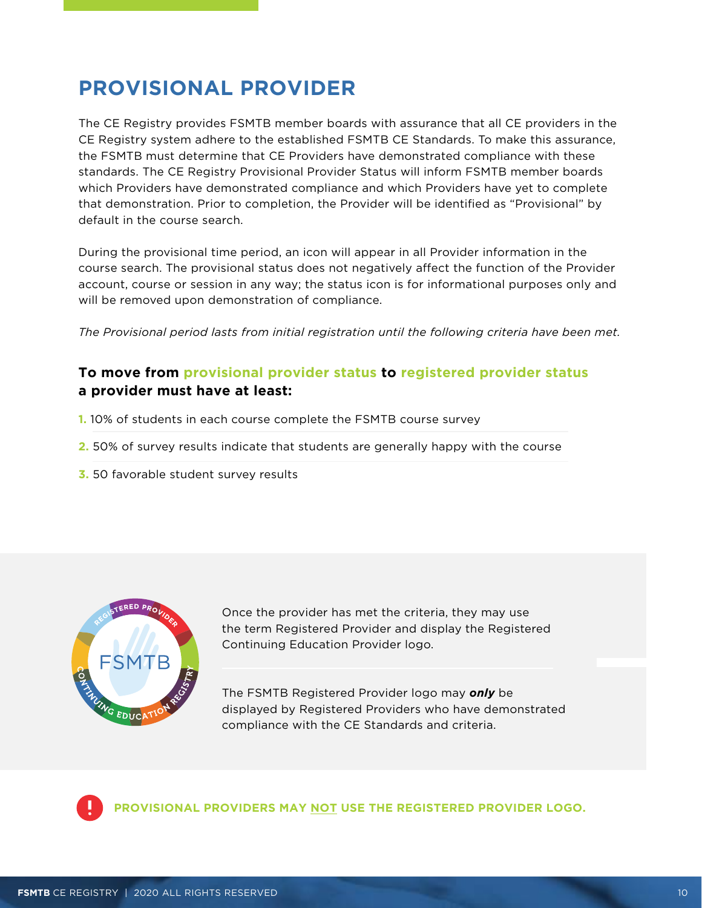## <span id="page-9-0"></span>**PROVISIONAL PROVIDER**

The CE Registry provides FSMTB member boards with assurance that all CE providers in the CE Registry system adhere to the established FSMTB CE Standards. To make this assurance, the FSMTB must determine that CE Providers have demonstrated compliance with these standards. The CE Registry Provisional Provider Status will inform FSMTB member boards which Providers have demonstrated compliance and which Providers have yet to complete that demonstration. Prior to completion, the Provider will be identified as "Provisional" by default in the course search.

During the provisional time period, an icon will appear in all Provider information in the course search. The provisional status does not negatively affect the function of the Provider account, course or session in any way; the status icon is for informational purposes only and will be removed upon demonstration of compliance.

*The Provisional period lasts from initial registration until the following criteria have been met.* 

### **To move from provisional provider status to registered provider status a provider must have at least:**

- **1.** 10% of students in each course complete the FSMTB course survey
- **2.** 50% of survey results indicate that students are generally happy with the course
- **3.** 50 favorable student survey results



Once the provider has met the criteria, they may use the term Registered Provider and display the Registered Continuing Education Provider logo.

The FSMTB Registered Provider logo may *only* be displayed by Registered Providers who have demonstrated compliance with the CE Standards and criteria.



**PROVISIONAL PROVIDERS MAY NOT USE THE REGISTERED PROVIDER LOGO.**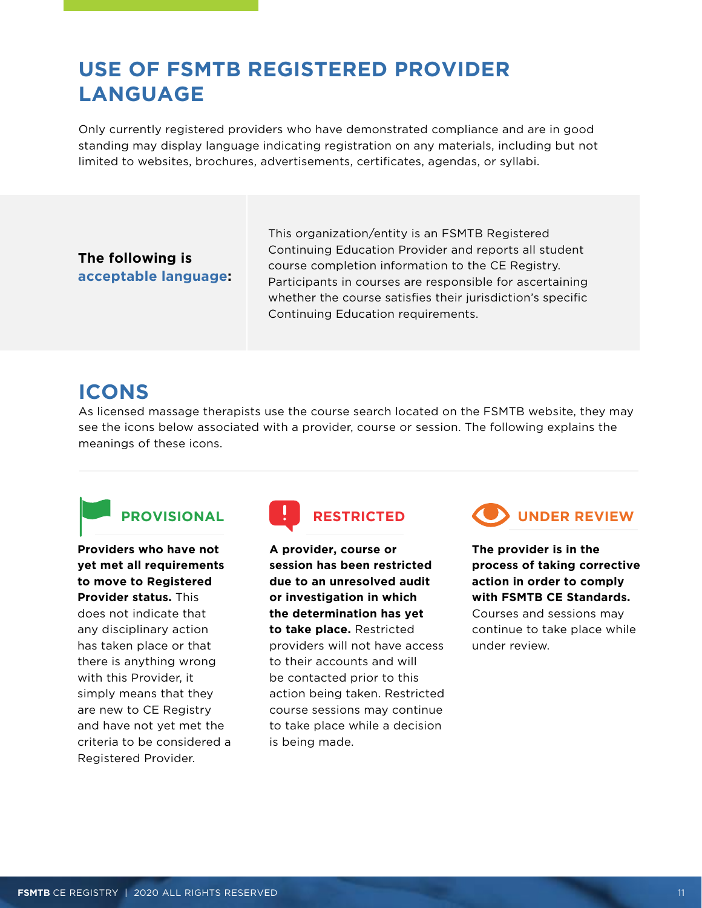## <span id="page-10-0"></span>**USE OF FSMTB REGISTERED PROVIDER LANGUAGE**

Only currently registered providers who have demonstrated compliance and are in good standing may display language indicating registration on any materials, including but not limited to websites, brochures, advertisements, certificates, agendas, or syllabi.

### **The following is acceptable language:**

This organization/entity is an FSMTB Registered Continuing Education Provider and reports all student course completion information to the CE Registry. Participants in courses are responsible for ascertaining whether the course satisfies their jurisdiction's specific Continuing Education requirements.

## **ICONS**

As licensed massage therapists use the course search located on the FSMTB website, they may see the icons below associated with a provider, course or session. The following explains the meanings of these icons.



**Providers who have not yet met all requirements to move to Registered Provider status.** This does not indicate that any disciplinary action has taken place or that there is anything wrong with this Provider, it simply means that they are new to CE Registry and have not yet met the criteria to be considered a Registered Provider.



**A provider, course or session has been restricted due to an unresolved audit or investigation in which the determination has yet to take place.** Restricted providers will not have access to their accounts and will be contacted prior to this action being taken. Restricted course sessions may continue to take place while a decision is being made.



**The provider is in the process of taking corrective action in order to comply with FSMTB CE Standards.** Courses and sessions may continue to take place while under review.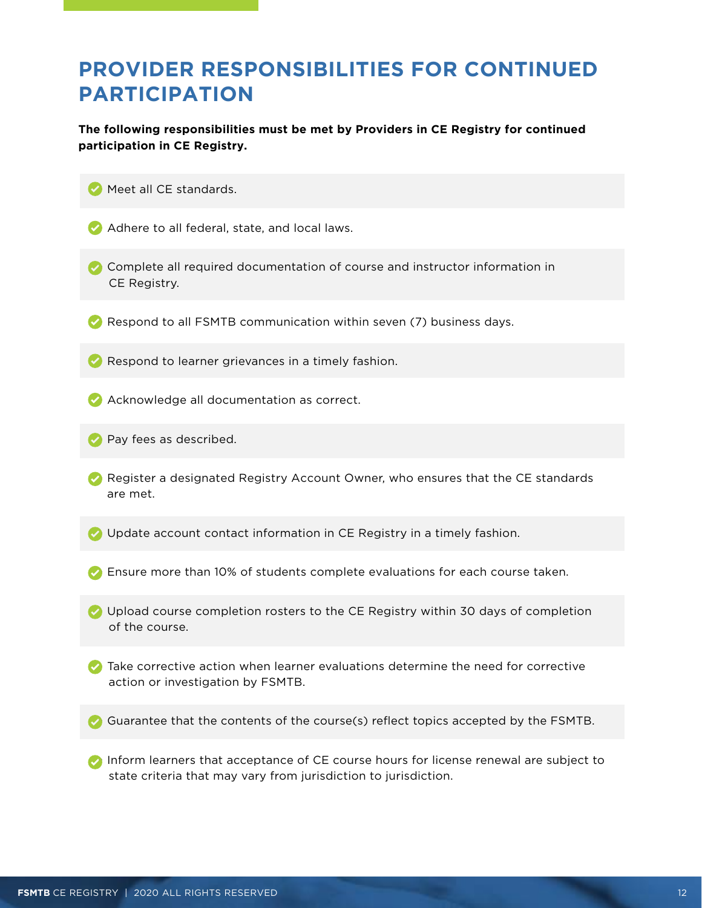## <span id="page-11-0"></span>**PROVIDER RESPONSIBILITIES FOR CONTINUED PARTICIPATION**

**The following responsibilities must be met by Providers in CE Registry for continued participation in CE Registry.** 

- **Meet all CE standards.**
- Adhere to all federal, state, and local laws.
- Complete all required documentation of course and instructor information in CE Registry.
- $\bullet$  Respond to all FSMTB communication within seven (7) business days.
- **Respond to learner grievances in a timely fashion.**
- **•** Acknowledge all documentation as correct.
- **Pay fees as described.**
- Register a designated Registry Account Owner, who ensures that the CE standards are met.
- **If** Update account contact information in CE Registry in a timely fashion.
- Ensure more than 10% of students complete evaluations for each course taken.
- Upload course completion rosters to the CE Registry within 30 days of completion of the course.
- Take corrective action when learner evaluations determine the need for corrective action or investigation by FSMTB.
- **Guarantee that the contents of the course(s) reflect topics accepted by the FSMTB.**
- **•** Inform learners that acceptance of CE course hours for license renewal are subject to state criteria that may vary from jurisdiction to jurisdiction.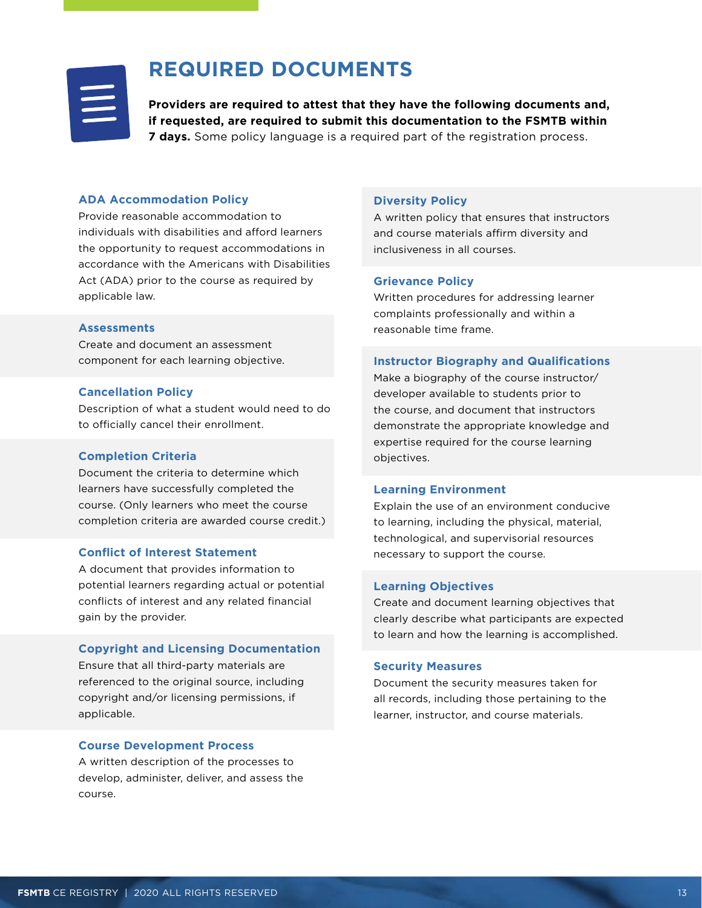<span id="page-12-0"></span>

## **REQUIRED DOCUMENTS**

**Providers are required to attest that they have the following documents and, if requested, are required to submit this documentation to the FSMTB within 7 days.** Some policy language is a required part of the registration process.

#### **ADA Accommodation Policy**

Provide reasonable accommodation to individuals with disabilities and afford learners the opportunity to request accommodations in accordance with the Americans with Disabilities Act (ADA) prior to the course as required by applicable law.

#### **Assessments**

Create and document an assessment component for each learning objective.

#### **Cancellation Policy**

Description of what a student would need to do to officially cancel their enrollment.

#### **Completion Criteria**

Document the criteria to determine which learners have successfully completed the course. (Only learners who meet the course completion criteria are awarded course credit.)

#### **Conflict of Interest Statement**

A document that provides information to potential learners regarding actual or potential conflicts of interest and any related financial gain by the provider.

#### **Copyright and Licensing Documentation**

Ensure that all third-party materials are referenced to the original source, including copyright and/or licensing permissions, if applicable.

#### **Course Development Process**

A written description of the processes to develop, administer, deliver, and assess the course.

#### **Diversity Policy**

A written policy that ensures that instructors and course materials affirm diversity and inclusiveness in all courses.

#### **Grievance Policy**

Written procedures for addressing learner complaints professionally and within a reasonable time frame.

#### **Instructor Biography and Qualifications**

Make a biography of the course instructor/ developer available to students prior to the course, and document that instructors demonstrate the appropriate knowledge and expertise required for the course learning objectives.

#### **Learning Environment**

Explain the use of an environment conducive to learning, including the physical, material, technological, and supervisorial resources necessary to support the course.

#### **Learning Objectives**

Create and document learning objectives that clearly describe what participants are expected to learn and how the learning is accomplished.

#### **Security Measures**

Document the security measures taken for all records, including those pertaining to the learner, instructor, and course materials.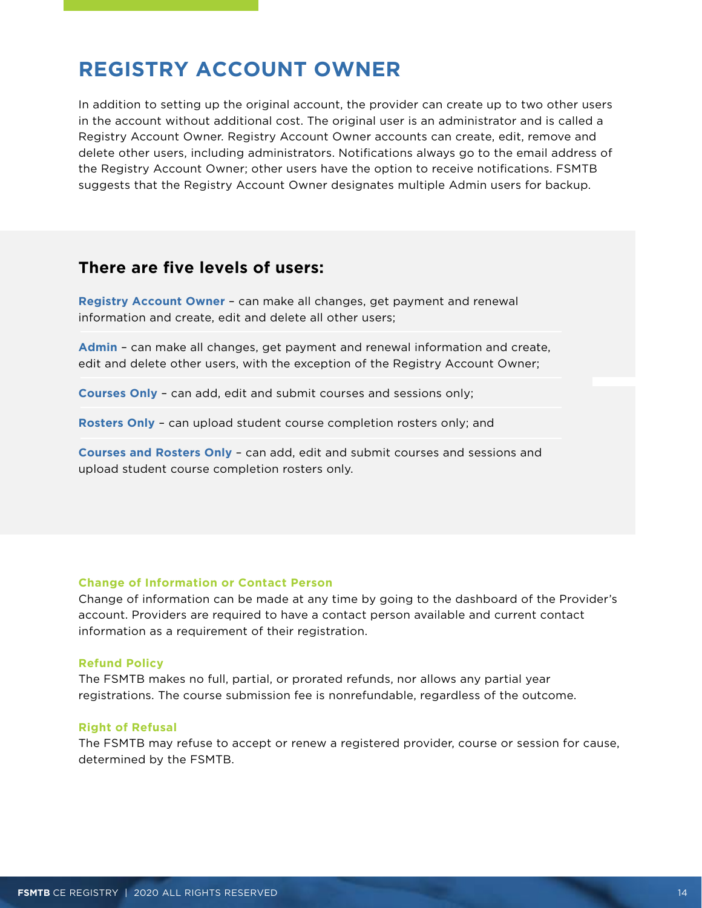## <span id="page-13-0"></span>**REGISTRY ACCOUNT OWNER**

In addition to setting up the original account, the provider can create up to two other users in the account without additional cost. The original user is an administrator and is called a Registry Account Owner. Registry Account Owner accounts can create, edit, remove and delete other users, including administrators. Notifications always go to the email address of the Registry Account Owner; other users have the option to receive notifications. FSMTB suggests that the Registry Account Owner designates multiple Admin users for backup.

### **There are five levels of users:**

**Registry Account Owner** – can make all changes, get payment and renewal information and create, edit and delete all other users;

**Admin** – can make all changes, get payment and renewal information and create, edit and delete other users, with the exception of the Registry Account Owner;

**Courses Only** – can add, edit and submit courses and sessions only;

**Rosters Only** – can upload student course completion rosters only; and

**Courses and Rosters Only** – can add, edit and submit courses and sessions and upload student course completion rosters only.

#### **Change of Information or Contact Person**

Change of information can be made at any time by going to the dashboard of the Provider's account. Providers are required to have a contact person available and current contact information as a requirement of their registration.

#### **Refund Policy**

The FSMTB makes no full, partial, or prorated refunds, nor allows any partial year registrations. The course submission fee is nonrefundable, regardless of the outcome.

#### **Right of Refusal**

The FSMTB may refuse to accept or renew a registered provider, course or session for cause, determined by the FSMTB.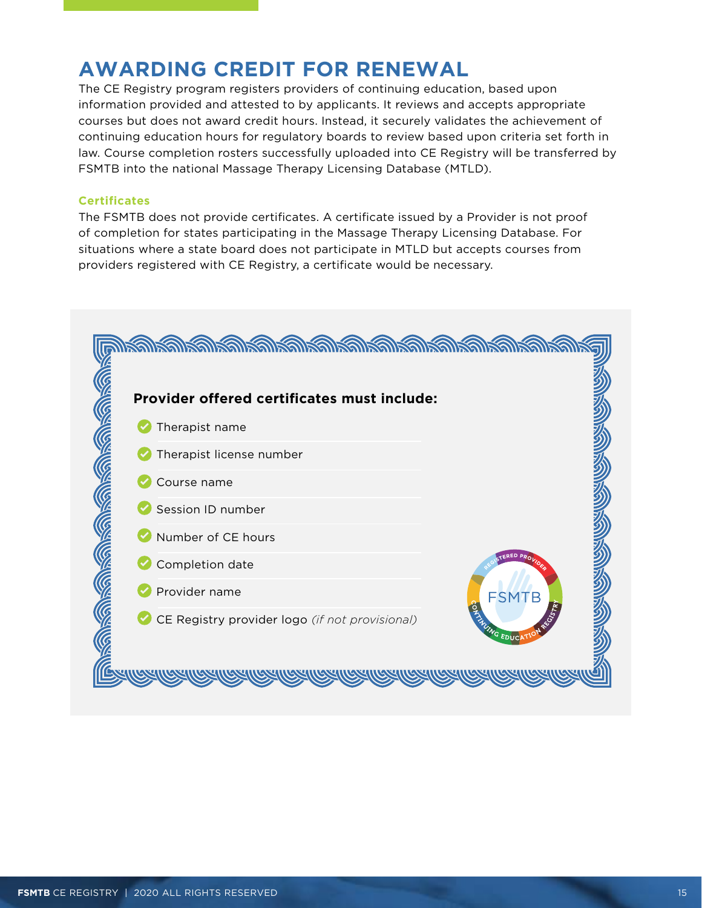## <span id="page-14-0"></span>**AWARDING CREDIT FOR RENEWAL**

The CE Registry program registers providers of continuing education, based upon information provided and attested to by applicants. It reviews and accepts appropriate courses but does not award credit hours. Instead, it securely validates the achievement of continuing education hours for regulatory boards to review based upon criteria set forth in law. Course completion rosters successfully uploaded into CE Registry will be transferred by FSMTB into the national Massage Therapy Licensing Database (MTLD).

#### **Certificates**

The FSMTB does not provide certificates. A certificate issued by a Provider is not proof of completion for states participating in the Massage Therapy Licensing Database. For situations where a state board does not participate in MTLD but accepts courses from providers registered with CE Registry, a certificate would be necessary.

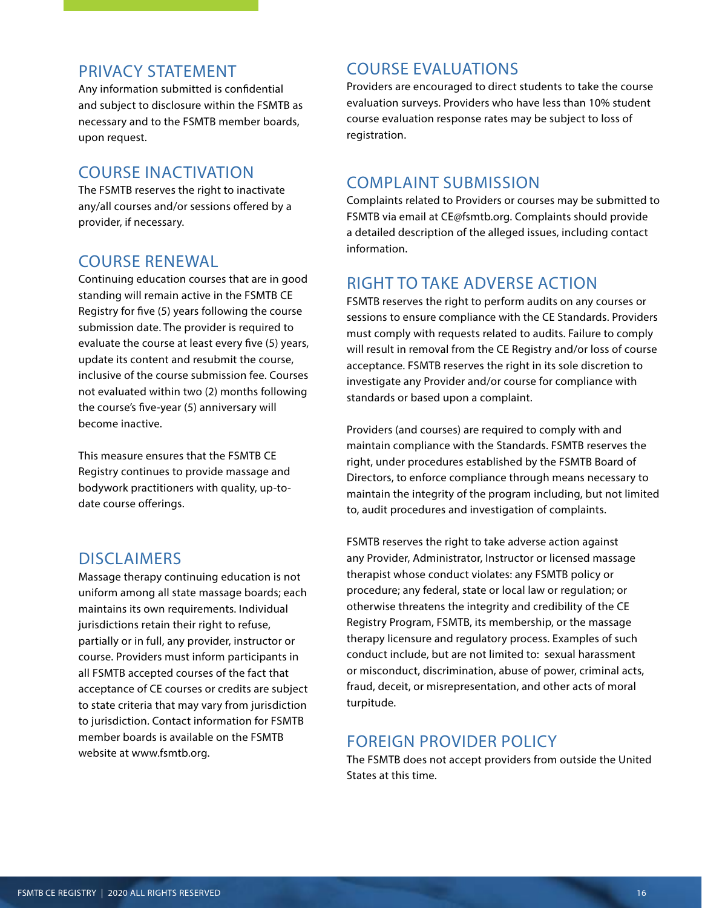### PRIVACY STATEMENT

Any information submitted is confidential and subject to disclosure within the FSMTB as necessary and to the FSMTB member boards, upon request.

### COURSE INACTIVATION

The FSMTB reserves the right to inactivate any/all courses and/or sessions offered by a provider, if necessary.

### COURSE RENEWAL

Continuing education courses that are in good standing will remain active in the FSMTB CE Registry for five (5) years following the course submission date. The provider is required to evaluate the course at least every five (5) years, update its content and resubmit the course, inclusive of the course submission fee. Courses not evaluated within two (2) months following the course's five-year (5) anniversary will become inactive.

This measure ensures that the FSMTB CE Registry continues to provide massage and bodywork practitioners with quality, up-todate course offerings.

### **DISCLAIMERS**

Massage therapy continuing education is not uniform among all state massage boards; each maintains its own requirements. Individual jurisdictions retain their right to refuse, partially or in full, any provider, instructor or course. Providers must inform participants in all FSMTB accepted courses of the fact that acceptance of CE courses or credits are subject to state criteria that may vary from jurisdiction to jurisdiction. Contact information for FSMTB member boards is available on the FSMTB website at www.fsmtb.org.

## COURSE EVALUATIONS

Providers are encouraged to direct students to take the course evaluation surveys. Providers who have less than 10% student course evaluation response rates may be subject to loss of registration.

## COMPLAINT SUBMISSION

Complaints related to Providers or courses may be submitted to FSMTB via email at CE@fsmtb.org. Complaints should provide a detailed description of the alleged issues, including contact information.

## RIGHT TO TAKE ADVERSE ACTION

FSMTB reserves the right to perform audits on any courses or sessions to ensure compliance with the CE Standards. Providers must comply with requests related to audits. Failure to comply will result in removal from the CE Registry and/or loss of course acceptance. FSMTB reserves the right in its sole discretion to investigate any Provider and/or course for compliance with standards or based upon a complaint.

Providers (and courses) are required to comply with and maintain compliance with the Standards. FSMTB reserves the right, under procedures established by the FSMTB Board of Directors, to enforce compliance through means necessary to maintain the integrity of the program including, but not limited to, audit procedures and investigation of complaints.

FSMTB reserves the right to take adverse action against any Provider, Administrator, Instructor or licensed massage therapist whose conduct violates: any FSMTB policy or procedure; any federal, state or local law or regulation; or otherwise threatens the integrity and credibility of the CE Registry Program, FSMTB, its membership, or the massage therapy licensure and regulatory process. Examples of such conduct include, but are not limited to: sexual harassment or misconduct, discrimination, abuse of power, criminal acts, fraud, deceit, or misrepresentation, and other acts of moral turpitude.

## FOREIGN PROVIDER POLICY

The FSMTB does not accept providers from outside the United States at this time.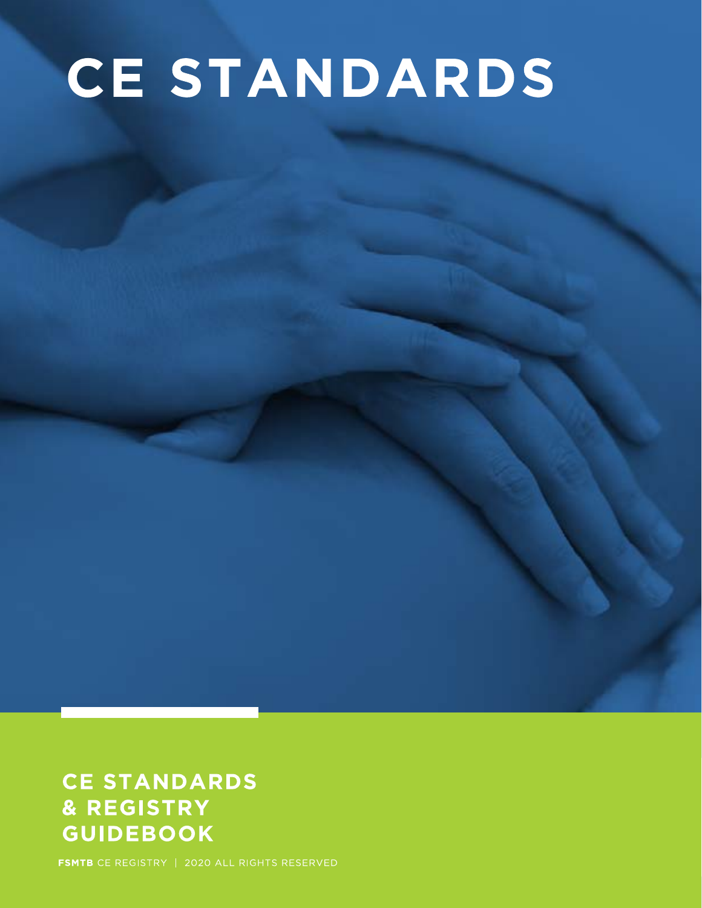# **CE STANDARDS**

## **CE STANDARDS** & REGISTRY **GUIDEBOOK**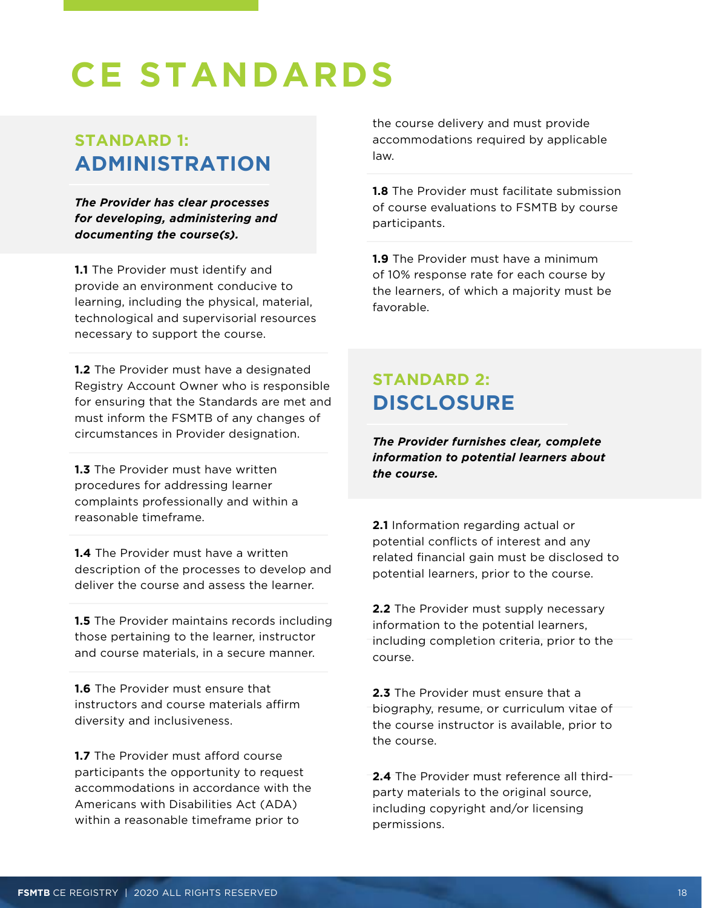## <span id="page-17-0"></span>**CE STANDARDS**

## **STANDARD 1: ADMINISTRATION**

*The Provider has clear processes for developing, administering and documenting the course(s).*

**1.1** The Provider must identify and provide an environment conducive to learning, including the physical, material, technological and supervisorial resources necessary to support the course.

**1.2** The Provider must have a designated Registry Account Owner who is responsible for ensuring that the Standards are met and must inform the FSMTB of any changes of circumstances in Provider designation.

**1.3** The Provider must have written procedures for addressing learner complaints professionally and within a reasonable timeframe.

**1.4** The Provider must have a written description of the processes to develop and deliver the course and assess the learner.

**1.5** The Provider maintains records including those pertaining to the learner, instructor and course materials, in a secure manner.

**1.6** The Provider must ensure that instructors and course materials affirm diversity and inclusiveness.

**1.7** The Provider must afford course participants the opportunity to request accommodations in accordance with the Americans with Disabilities Act (ADA) within a reasonable timeframe prior to

the course delivery and must provide accommodations required by applicable law.

**1.8** The Provider must facilitate submission of course evaluations to FSMTB by course participants.

**1.9** The Provider must have a minimum of 10% response rate for each course by the learners, of which a majority must be favorable.

## **STANDARD 2: DISCLOSURE**

*The Provider furnishes clear, complete information to potential learners about the course.* 

**2.1** Information regarding actual or potential conflicts of interest and any related financial gain must be disclosed to potential learners, prior to the course.

**2.2** The Provider must supply necessary information to the potential learners, including completion criteria, prior to the course.

**2.3** The Provider must ensure that a biography, resume, or curriculum vitae of the course instructor is available, prior to the course.

**2.4** The Provider must reference all thirdparty materials to the original source, including copyright and/or licensing permissions.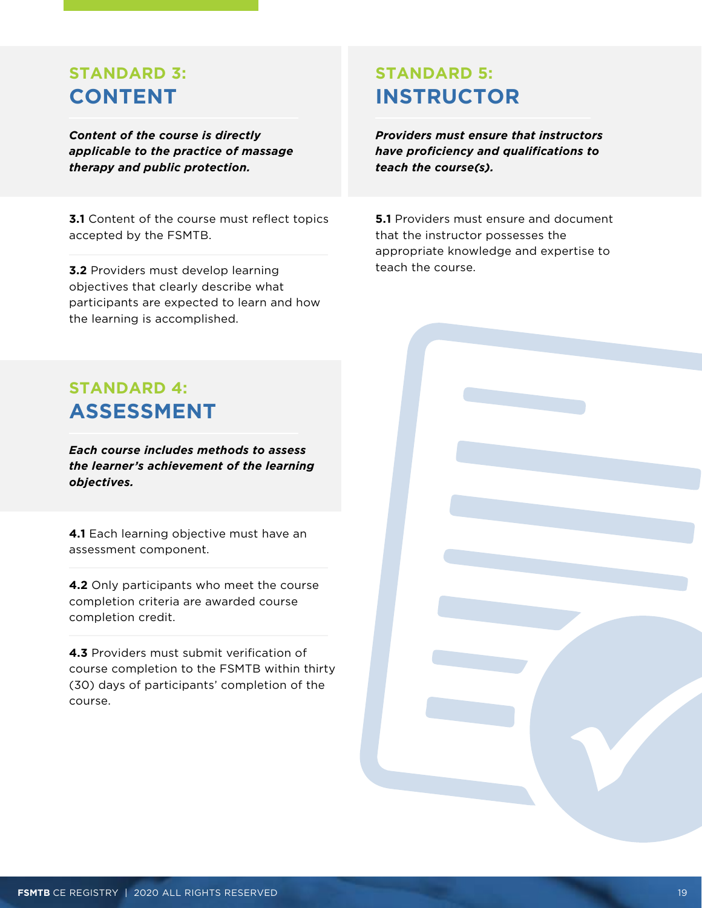## <span id="page-18-0"></span>**STANDARD 3: CONTENT**

*Content of the course is directly applicable to the practice of massage therapy and public protection.* 

**3.1** Content of the course must reflect topics accepted by the FSMTB.

**3.2** Providers must develop learning objectives that clearly describe what participants are expected to learn and how the learning is accomplished.

## **STANDARD 5: INSTRUCTOR**

*Providers must ensure that instructors have proficiency and qualifications to teach the course(s).*

**5.1** Providers must ensure and document that the instructor possesses the appropriate knowledge and expertise to teach the course.

## **STANDARD 4: ASSESSMENT**

*Each course includes methods to assess the learner's achievement of the learning objectives.*

**4.1** Each learning objective must have an assessment component.

**4.2** Only participants who meet the course completion criteria are awarded course completion credit.

**4.3** Providers must submit verification of course completion to the FSMTB within thirty (30) days of participants' completion of the course.

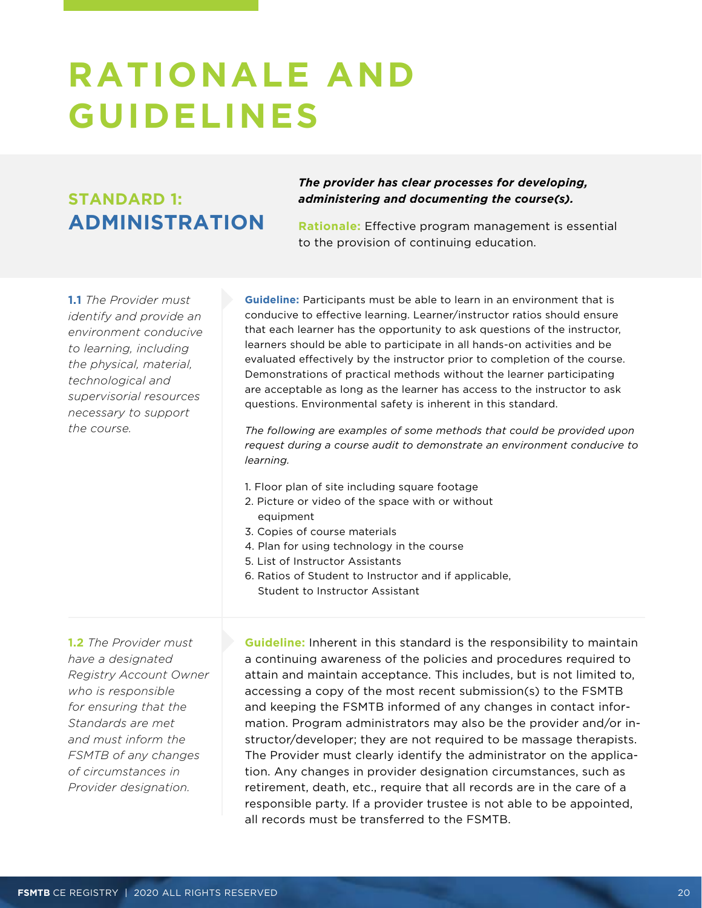## <span id="page-19-0"></span>**RATIONALE AND GUIDELINES**

## **STANDARD 1: ADMINISTRATION**

*The provider has clear processes for developing, administering and documenting the course(s).*

**Rationale:** Effective program management is essential to the provision of continuing education.

**1.1** *The Provider must identify and provide an environment conducive to learning, including the physical, material, technological and supervisorial resources necessary to support the course.*

**Guideline:** Participants must be able to learn in an environment that is conducive to effective learning. Learner/instructor ratios should ensure that each learner has the opportunity to ask questions of the instructor, learners should be able to participate in all hands-on activities and be evaluated effectively by the instructor prior to completion of the course. Demonstrations of practical methods without the learner participating are acceptable as long as the learner has access to the instructor to ask questions. Environmental safety is inherent in this standard.

*The following are examples of some methods that could be provided upon request during a course audit to demonstrate an environment conducive to learning.* 

- 1. Floor plan of site including square footage
- 2. Picture or video of the space with or without equipment
- 3. Copies of course materials
- 4. Plan for using technology in the course
- 5. List of Instructor Assistants
- 6. Ratios of Student to Instructor and if applicable, Student to Instructor Assistant

**1.2** *The Provider must have a designated Registry Account Owner who is responsible for ensuring that the Standards are met and must inform the FSMTB of any changes of circumstances in Provider designation.* 

**Guideline:** Inherent in this standard is the responsibility to maintain a continuing awareness of the policies and procedures required to attain and maintain acceptance. This includes, but is not limited to, accessing a copy of the most recent submission(s) to the FSMTB and keeping the FSMTB informed of any changes in contact information. Program administrators may also be the provider and/or instructor/developer; they are not required to be massage therapists. The Provider must clearly identify the administrator on the application. Any changes in provider designation circumstances, such as retirement, death, etc., require that all records are in the care of a responsible party. If a provider trustee is not able to be appointed, all records must be transferred to the FSMTB.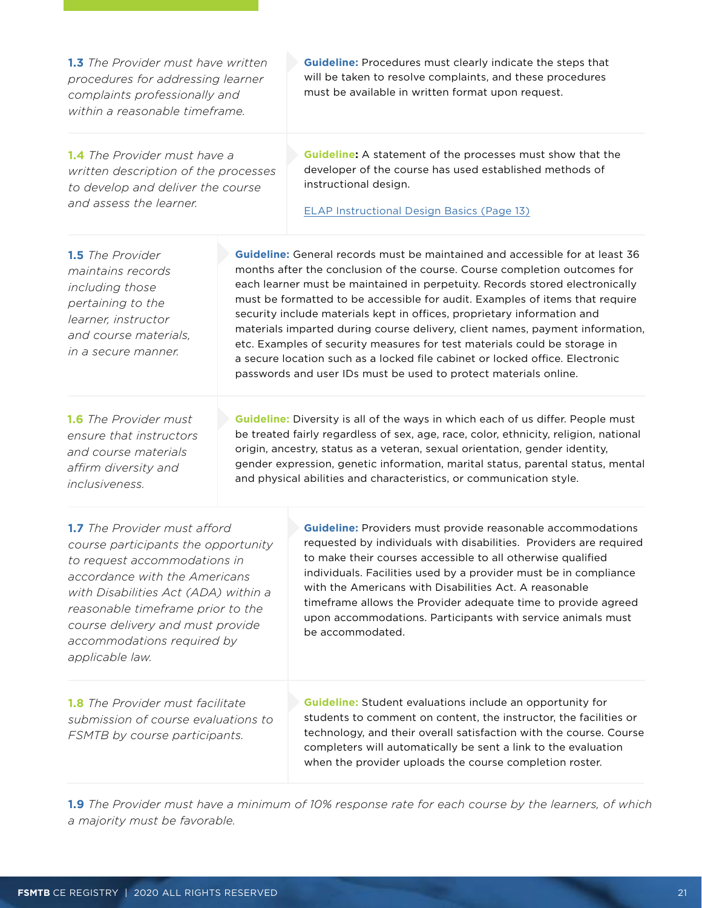<span id="page-20-0"></span>

| 1.3 The Provider must have written<br>procedures for addressing learner<br>complaints professionally and<br>within a reasonable timeframe.                                                                                                                                                                    |                                                                                                                                                                                                                                                                                                                                                                                                                  | <b>Guideline:</b> Procedures must clearly indicate the steps that<br>will be taken to resolve complaints, and these procedures<br>must be available in written format upon request.                                                                                                                                                                                                                                                                                                                                                                                                                                                                                                                                           |  |
|---------------------------------------------------------------------------------------------------------------------------------------------------------------------------------------------------------------------------------------------------------------------------------------------------------------|------------------------------------------------------------------------------------------------------------------------------------------------------------------------------------------------------------------------------------------------------------------------------------------------------------------------------------------------------------------------------------------------------------------|-------------------------------------------------------------------------------------------------------------------------------------------------------------------------------------------------------------------------------------------------------------------------------------------------------------------------------------------------------------------------------------------------------------------------------------------------------------------------------------------------------------------------------------------------------------------------------------------------------------------------------------------------------------------------------------------------------------------------------|--|
| <b>1.4</b> The Provider must have a<br>written description of the processes<br>to develop and deliver the course<br>and assess the learner.                                                                                                                                                                   |                                                                                                                                                                                                                                                                                                                                                                                                                  | <b>Guideline:</b> A statement of the processes must show that the<br>developer of the course has used established methods of<br>instructional design.<br><b>ELAP Instructional Design Basics (Page 13)</b>                                                                                                                                                                                                                                                                                                                                                                                                                                                                                                                    |  |
| <b>1.5</b> The Provider<br>maintains records<br>including those<br>pertaining to the<br>learner, instructor<br>and course materials,<br>in a secure manner.                                                                                                                                                   |                                                                                                                                                                                                                                                                                                                                                                                                                  | <b>Guideline:</b> General records must be maintained and accessible for at least 36<br>months after the conclusion of the course. Course completion outcomes for<br>each learner must be maintained in perpetuity. Records stored electronically<br>must be formatted to be accessible for audit. Examples of items that require<br>security include materials kept in offices, proprietary information and<br>materials imparted during course delivery, client names, payment information,<br>etc. Examples of security measures for test materials could be storage in<br>a secure location such as a locked file cabinet or locked office. Electronic<br>passwords and user IDs must be used to protect materials online. |  |
| <b>1.6</b> The Provider must<br>ensure that instructors<br>and course materials<br>affirm diversity and<br>inclusiveness.                                                                                                                                                                                     | Guideline: Diversity is all of the ways in which each of us differ. People must<br>be treated fairly regardless of sex, age, race, color, ethnicity, religion, national<br>origin, ancestry, status as a veteran, sexual orientation, gender identity,<br>gender expression, genetic information, marital status, parental status, mental<br>and physical abilities and characteristics, or communication style. |                                                                                                                                                                                                                                                                                                                                                                                                                                                                                                                                                                                                                                                                                                                               |  |
| <b>1.7</b> The Provider must afford<br>course participants the opportunity<br>to request accommodations in<br>accordance with the Americans<br>with Disabilities Act (ADA) within a<br>reasonable timeframe prior to the<br>course delivery and must provide<br>accommodations required by<br>applicable law. |                                                                                                                                                                                                                                                                                                                                                                                                                  | <b>Guideline:</b> Providers must provide reasonable accommodations<br>requested by individuals with disabilities. Providers are required<br>to make their courses accessible to all otherwise qualified<br>individuals. Facilities used by a provider must be in compliance<br>with the Americans with Disabilities Act. A reasonable<br>timeframe allows the Provider adequate time to provide agreed<br>upon accommodations. Participants with service animals must<br>be accommodated.                                                                                                                                                                                                                                     |  |
| <b>1.8</b> The Provider must facilitate<br>submission of course evaluations to<br>FSMTB by course participants.                                                                                                                                                                                               |                                                                                                                                                                                                                                                                                                                                                                                                                  | <b>Guideline:</b> Student evaluations include an opportunity for<br>students to comment on content, the instructor, the facilities or<br>technology, and their overall satisfaction with the course. Course<br>completers will automatically be sent a link to the evaluation<br>when the provider uploads the course completion roster.                                                                                                                                                                                                                                                                                                                                                                                      |  |

**1.9** *The Provider must have a minimum of 10% response rate for each course by the learners, of which a majority must be favorable.*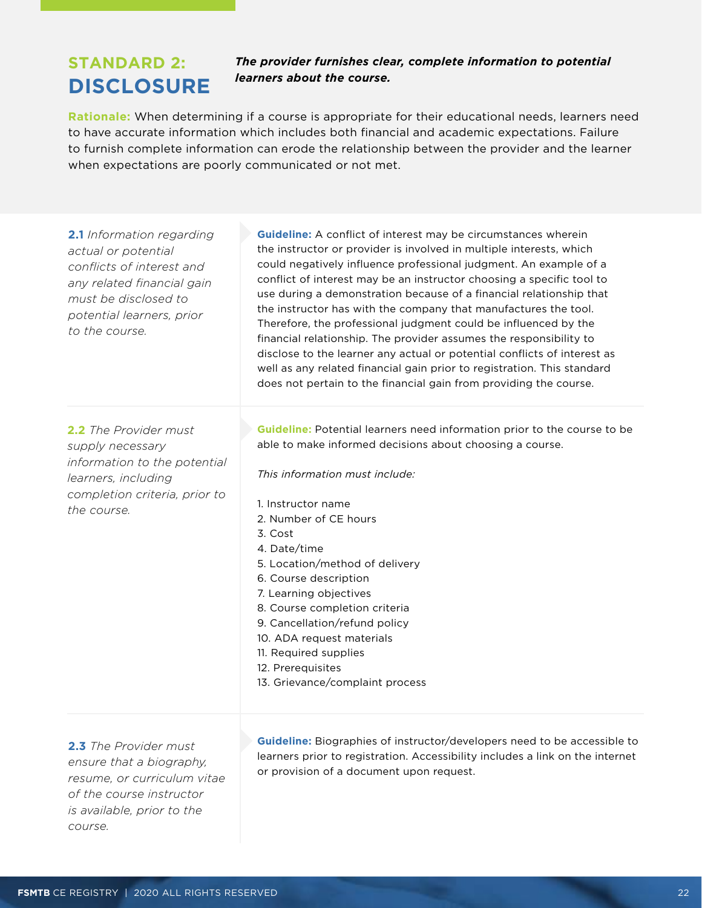## <span id="page-21-0"></span>**STANDARD 2: DISCLOSURE**

#### *The provider furnishes clear, complete information to potential learners about the course.*

**Rationale:** When determining if a course is appropriate for their educational needs, learners need to have accurate information which includes both financial and academic expectations. Failure to furnish complete information can erode the relationship between the provider and the learner when expectations are poorly communicated or not met.

| <b>2.1</b> Information regarding<br>actual or potential<br>conflicts of interest and<br>any related financial gain<br>must be disclosed to<br>potential learners, prior<br>to the course. | <b>Guideline:</b> A conflict of interest may be circumstances wherein<br>the instructor or provider is involved in multiple interests, which<br>could negatively influence professional judgment. An example of a<br>conflict of interest may be an instructor choosing a specific tool to<br>use during a demonstration because of a financial relationship that<br>the instructor has with the company that manufactures the tool.<br>Therefore, the professional judgment could be influenced by the<br>financial relationship. The provider assumes the responsibility to<br>disclose to the learner any actual or potential conflicts of interest as<br>well as any related financial gain prior to registration. This standard<br>does not pertain to the financial gain from providing the course. |
|-------------------------------------------------------------------------------------------------------------------------------------------------------------------------------------------|-----------------------------------------------------------------------------------------------------------------------------------------------------------------------------------------------------------------------------------------------------------------------------------------------------------------------------------------------------------------------------------------------------------------------------------------------------------------------------------------------------------------------------------------------------------------------------------------------------------------------------------------------------------------------------------------------------------------------------------------------------------------------------------------------------------|
| <b>2.2</b> The Provider must<br>supply necessary<br>information to the potential<br>learners, including<br>completion criteria, prior to<br>the course.                                   | Guideline: Potential learners need information prior to the course to be<br>able to make informed decisions about choosing a course.<br>This information must include:<br>1. Instructor name<br>2. Number of CE hours<br>3. Cost<br>4. Date/time<br>5. Location/method of delivery<br>6. Course description<br>7. Learning objectives<br>8. Course completion criteria<br>9. Cancellation/refund policy<br>10. ADA request materials<br>11. Required supplies<br>12. Prerequisites<br>13. Grievance/complaint process                                                                                                                                                                                                                                                                                     |

**2.3** *The Provider must ensure that a biography, resume, or curriculum vitae of the course instructor is available, prior to the course.*

**Guideline:** Biographies of instructor/developers need to be accessible to learners prior to registration. Accessibility includes a link on the internet or provision of a document upon request.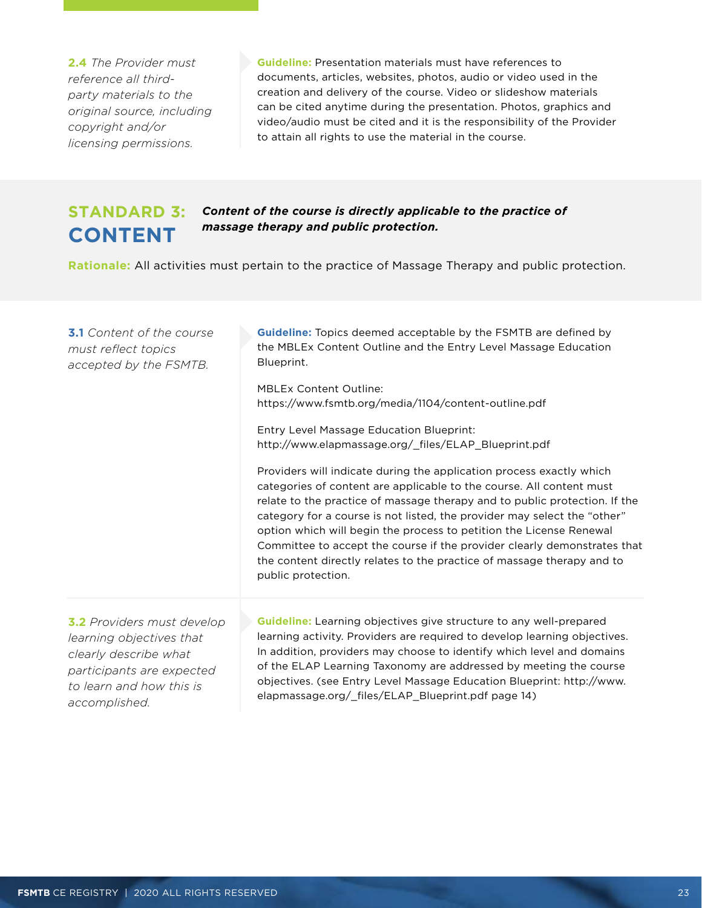<span id="page-22-0"></span>**2.4** *The Provider must reference all thirdparty materials to the original source, including copyright and/or licensing permissions.*

**Guideline:** Presentation materials must have references to documents, articles, websites, photos, audio or video used in the creation and delivery of the course. Video or slideshow materials can be cited anytime during the presentation. Photos, graphics and video/audio must be cited and it is the responsibility of the Provider to attain all rights to use the material in the course.

## **STANDARD 3: CONTENT**

*Content of the course is directly applicable to the practice of massage therapy and public protection.* 

**Rationale:** All activities must pertain to the practice of Massage Therapy and public protection.

| <b>3.1</b> Content of the course<br>must reflect topics<br>accepted by the FSMTB.                                                                                       | <b>Guideline:</b> Topics deemed acceptable by the FSMTB are defined by<br>the MBLEx Content Outline and the Entry Level Massage Education<br>Blueprint.                                                                                                                                                                                                                                                                                                                                                                                                   |
|-------------------------------------------------------------------------------------------------------------------------------------------------------------------------|-----------------------------------------------------------------------------------------------------------------------------------------------------------------------------------------------------------------------------------------------------------------------------------------------------------------------------------------------------------------------------------------------------------------------------------------------------------------------------------------------------------------------------------------------------------|
|                                                                                                                                                                         | <b>MBLEx Content Outline:</b><br>https://www.fsmtb.org/media/1104/content-outline.pdf                                                                                                                                                                                                                                                                                                                                                                                                                                                                     |
|                                                                                                                                                                         | <b>Entry Level Massage Education Blueprint:</b><br>http://www.elapmassage.org/_files/ELAP_Blueprint.pdf                                                                                                                                                                                                                                                                                                                                                                                                                                                   |
|                                                                                                                                                                         | Providers will indicate during the application process exactly which<br>categories of content are applicable to the course. All content must<br>relate to the practice of massage therapy and to public protection. If the<br>category for a course is not listed, the provider may select the "other"<br>option which will begin the process to petition the License Renewal<br>Committee to accept the course if the provider clearly demonstrates that<br>the content directly relates to the practice of massage therapy and to<br>public protection. |
| <b>3.2</b> Providers must develop<br>learning objectives that<br>clearly describe what<br>participants are expected<br>to learn and how this is<br>o o o o populio book | <b>Guideline:</b> Learning objectives give structure to any well-prepared<br>learning activity. Providers are required to develop learning objectives.<br>In addition, providers may choose to identify which level and domains<br>of the ELAP Learning Taxonomy are addressed by meeting the course<br>objectives. (see Entry Level Massage Education Blueprint: http://www.<br>elapmassage.org/_files/ELAP_Blueprint.pdf page 14)                                                                                                                       |

*accomplished.*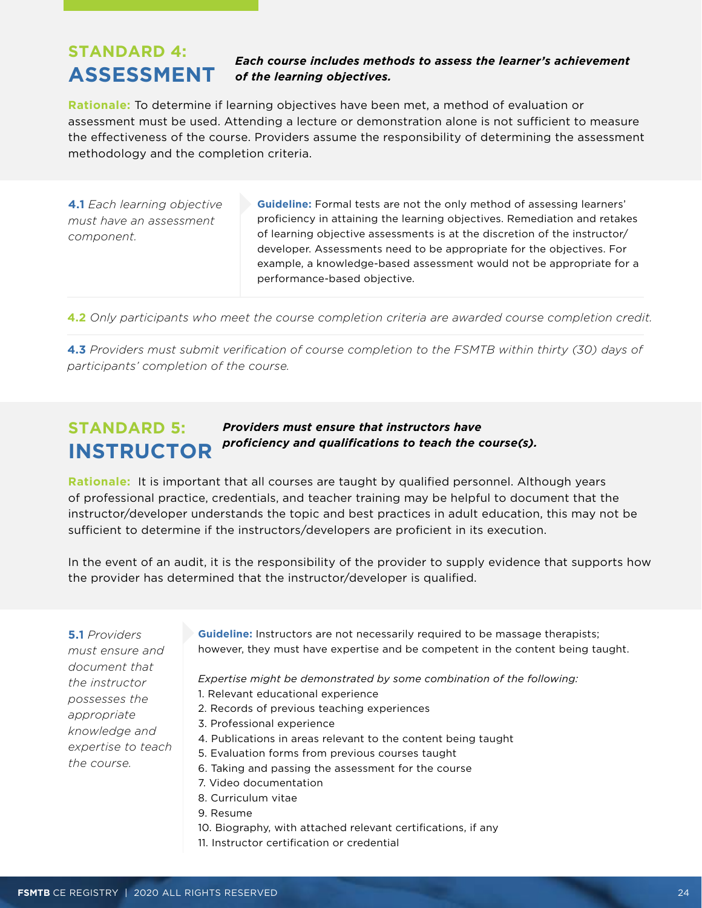## <span id="page-23-0"></span>**STANDARD 4: ASSESSMENT**

#### *Each course includes methods to assess the learner's achievement of the learning objectives.*

**Rationale:** To determine if learning objectives have been met, a method of evaluation or assessment must be used. Attending a lecture or demonstration alone is not sufficient to measure the effectiveness of the course. Providers assume the responsibility of determining the assessment methodology and the completion criteria.

**4.1** *Each learning objective must have an assessment component.*

**Guideline:** Formal tests are not the only method of assessing learners' proficiency in attaining the learning objectives. Remediation and retakes of learning objective assessments is at the discretion of the instructor/ developer. Assessments need to be appropriate for the objectives. For example, a knowledge-based assessment would not be appropriate for a performance-based objective.

**4.2** *Only participants who meet the course completion criteria are awarded course completion credit.* 

**4.3** *Providers must submit verification of course completion to the FSMTB within thirty (30) days of participants' completion of the course.* 

#### **STANDARD 5: INSTRUCTOR** *Providers must ensure that instructors have proficiency and qualifications to teach the course(s).*

**Rationale:** It is important that all courses are taught by qualified personnel. Although years of professional practice, credentials, and teacher training may be helpful to document that the instructor/developer understands the topic and best practices in adult education, this may not be sufficient to determine if the instructors/developers are proficient in its execution.

In the event of an audit, it is the responsibility of the provider to supply evidence that supports how the provider has determined that the instructor/developer is qualified.

**5.1** *Providers must ensure and document that the instructor possesses the appropriate knowledge and expertise to teach the course.*

**Guideline:** Instructors are not necessarily required to be massage therapists; however, they must have expertise and be competent in the content being taught.

*Expertise might be demonstrated by some combination of the following:*

- 1. Relevant educational experience
- 2. Records of previous teaching experiences
- 3. Professional experience
- 4. Publications in areas relevant to the content being taught
- 5. Evaluation forms from previous courses taught
- 6. Taking and passing the assessment for the course
- 7. Video documentation
- 8. Curriculum vitae
- 9. Resume
- 10. Biography, with attached relevant certifications, if any
- 11. Instructor certification or credential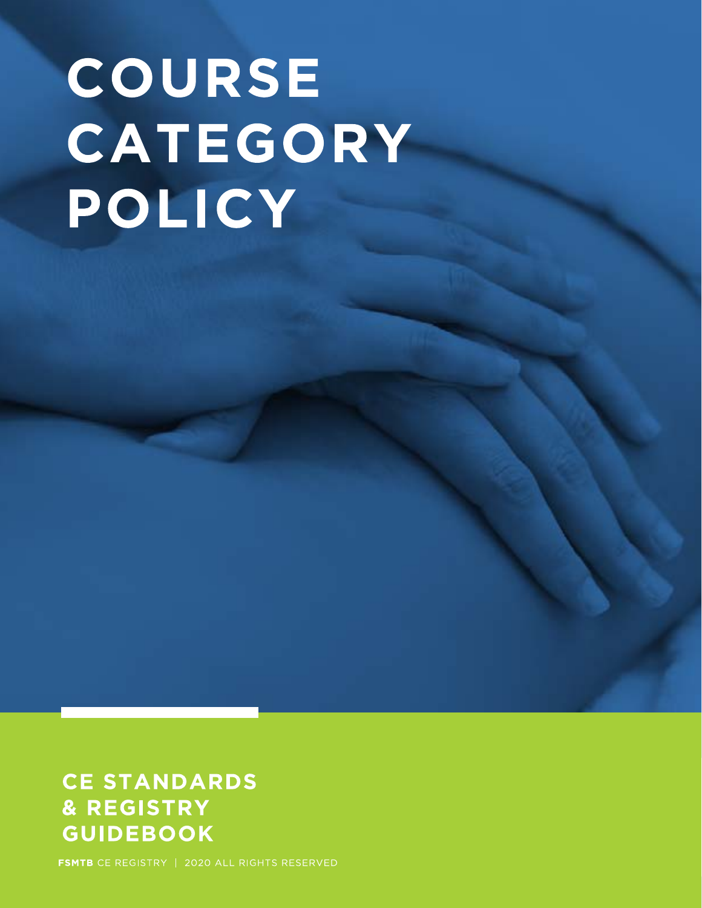# COURSE CATEGORY POLICY

## **CE STANDARDS** & REGISTRY **GUIDEBOOK**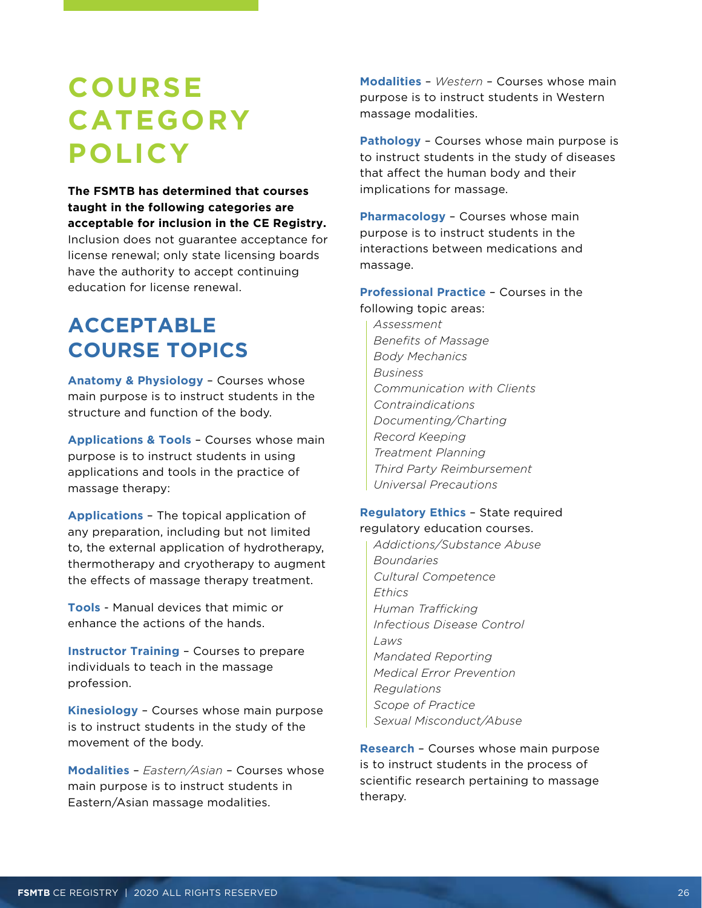## <span id="page-25-0"></span>**COURSE CATEGORY POLICY**

**The FSMTB has determined that courses taught in the following categories are acceptable for inclusion in the CE Registry.** Inclusion does not guarantee acceptance for license renewal; only state licensing boards have the authority to accept continuing education for license renewal.

## **ACCEPTABLE COURSE TOPICS**

**Anatomy & Physiology** – Courses whose main purpose is to instruct students in the structure and function of the body.

**Applications & Tools** – Courses whose main purpose is to instruct students in using applications and tools in the practice of massage therapy:

**Applications** – The topical application of any preparation, including but not limited to, the external application of hydrotherapy, thermotherapy and cryotherapy to augment the effects of massage therapy treatment.

**Tools** - Manual devices that mimic or enhance the actions of the hands.

**Instructor Training** – Courses to prepare individuals to teach in the massage profession.

**Kinesiology** – Courses whose main purpose is to instruct students in the study of the movement of the body.

**Modalities** – *Eastern/Asian* – Courses whose main purpose is to instruct students in Eastern/Asian massage modalities.

**Modalities** – *Western* – Courses whose main purpose is to instruct students in Western massage modalities.

**Pathology** – Courses whose main purpose is to instruct students in the study of diseases that affect the human body and their implications for massage.

**Pharmacology** – Courses whose main purpose is to instruct students in the interactions between medications and massage.

#### **Professional Practice** – Courses in the following topic areas:

*Assessment Benefits of Massage Body Mechanics Business Communication with Clients Contraindications Documenting/Charting Record Keeping Treatment Planning Third Party Reimbursement Universal Precautions* 

#### **Regulatory Ethics** – State required regulatory education courses.

*Addictions/Substance Abuse Boundaries Cultural Competence Ethics Human Trafficking Infectious Disease Control Laws Mandated Reporting Medical Error Prevention Regulations Scope of Practice Sexual Misconduct/Abuse*

**Research** – Courses whose main purpose is to instruct students in the process of scientific research pertaining to massage therapy.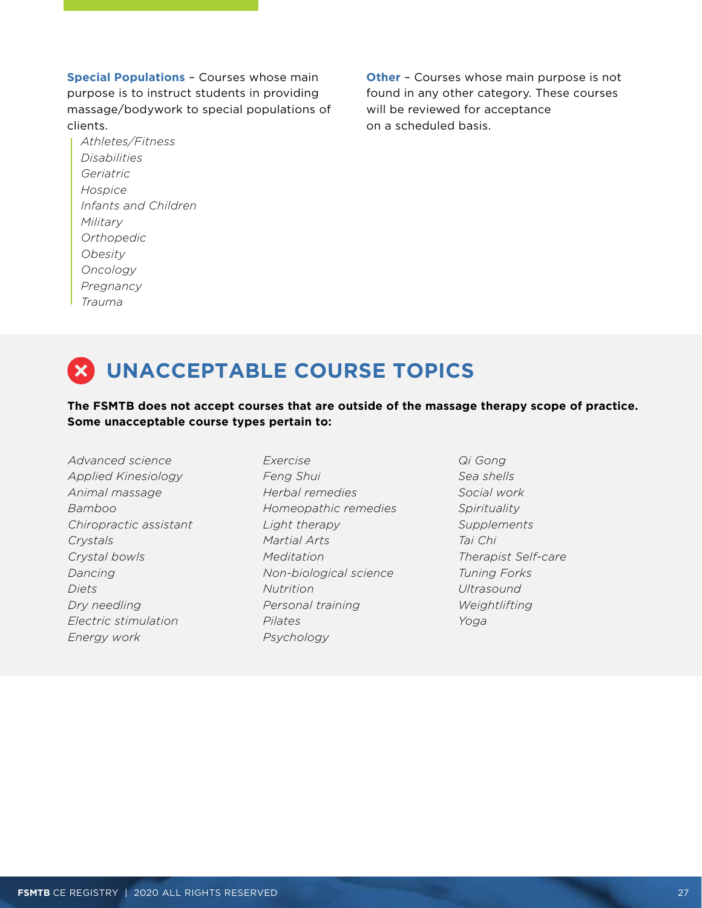**Special Populations** – Courses whose main purpose is to instruct students in providing massage/bodywork to special populations of clients.

*Athletes/Fitness Disabilities Geriatric Hospice Infants and Children Military Orthopedic Obesity Oncology Pregnancy Trauma*

**Other** – Courses whose main purpose is not found in any other category. These courses will be reviewed for acceptance on a scheduled basis.

## **UNACCEPTABLE COURSE TOPICS**

#### **The FSMTB does not accept courses that are outside of the massage therapy scope of practice. Some unacceptable course types pertain to:**

*Advanced science Applied Kinesiology Animal massage Bamboo Chiropractic assistant Crystals Crystal bowls Dancing Diets Dry needling Electric stimulation Energy work*

*Exercise Feng Shui Herbal remedies Homeopathic remedies Light therapy Martial Arts Meditation Non-biological science Nutrition Personal training Pilates Psychology*

*Qi Gong Sea shells Social work Spirituality Supplements Tai Chi Therapist Self-care Tuning Forks Ultrasound Weightlifting Yoga*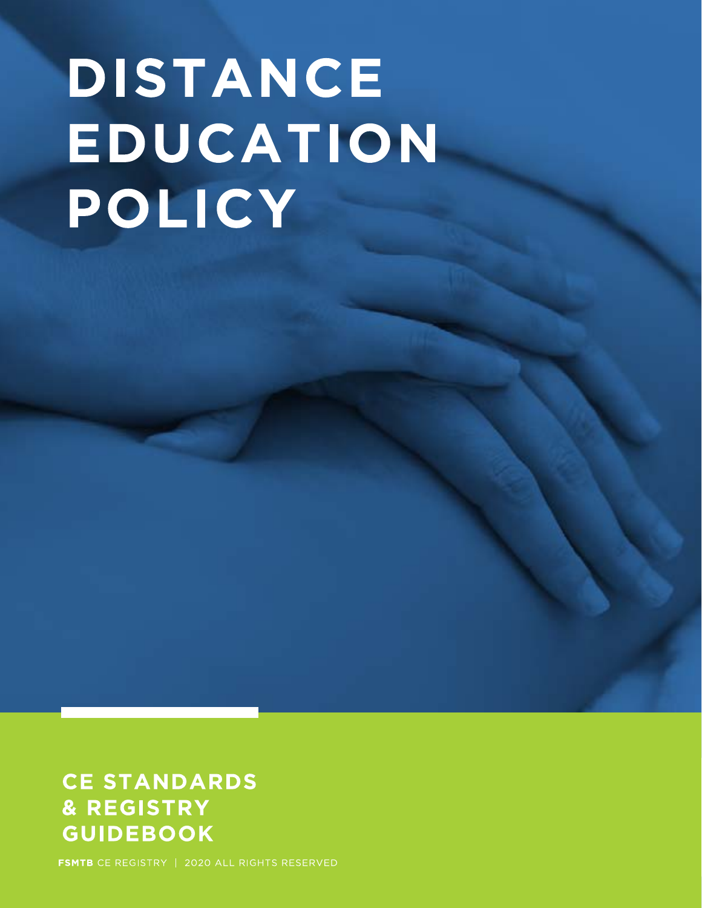# DISTANCE EDUCATION POLICY

## **CE STANDARDS** & REGISTRY **GUIDEBOOK**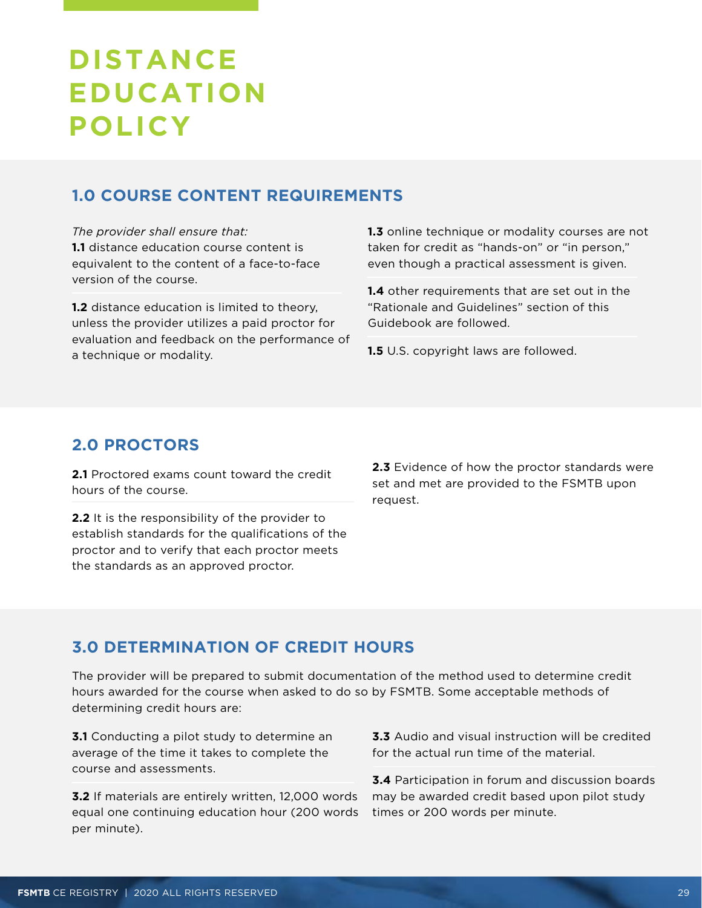## <span id="page-28-0"></span>**DISTANCE EDUCATION POLICY**

## **1.0 COURSE CONTENT REQUIREMENTS**

*The provider shall ensure that:*  **1.1** distance education course content is equivalent to the content of a face-to-face version of the course.

**1.2** distance education is limited to theory, unless the provider utilizes a paid proctor for evaluation and feedback on the performance of a technique or modality.

**1.3** online technique or modality courses are not taken for credit as "hands-on" or "in person," even though a practical assessment is given.

**1.4** other requirements that are set out in the "Rationale and Guidelines" section of this Guidebook are followed.

**1.5** U.S. copyright laws are followed.

## **2.0 PROCTORS**

**2.1** Proctored exams count toward the credit hours of the course.

**2.2** It is the responsibility of the provider to establish standards for the qualifications of the proctor and to verify that each proctor meets the standards as an approved proctor.

**2.3** Evidence of how the proctor standards were set and met are provided to the FSMTB upon request.

## **3.0 DETERMINATION OF CREDIT HOURS**

The provider will be prepared to submit documentation of the method used to determine credit hours awarded for the course when asked to do so by FSMTB. Some acceptable methods of determining credit hours are:

**3.1** Conducting a pilot study to determine an average of the time it takes to complete the course and assessments.

**3.2** If materials are entirely written, 12,000 words equal one continuing education hour (200 words per minute).

**3.3** Audio and visual instruction will be credited for the actual run time of the material.

**3.4** Participation in forum and discussion boards may be awarded credit based upon pilot study times or 200 words per minute.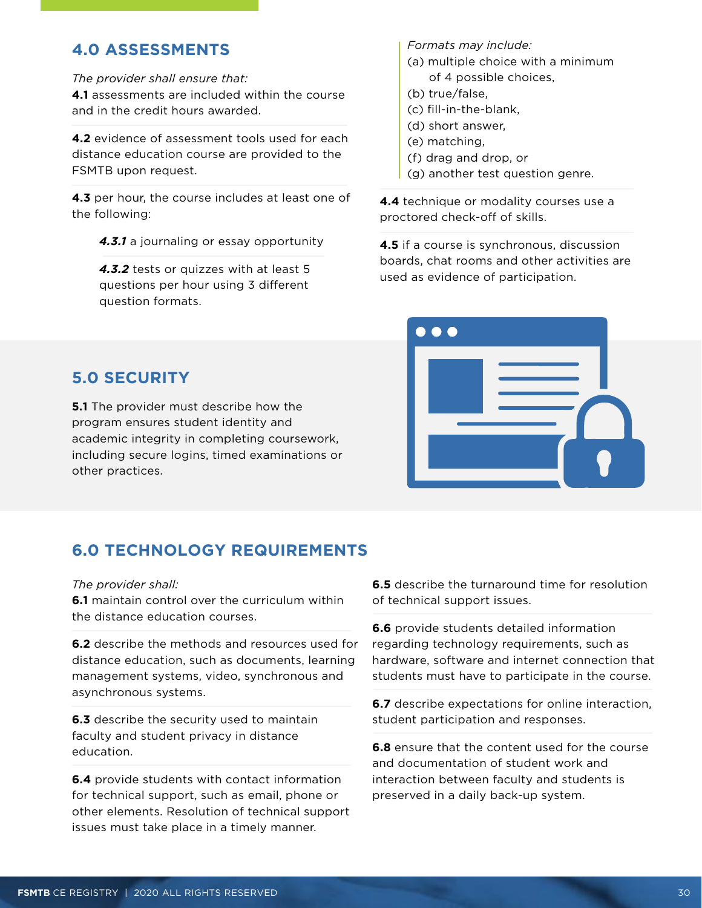## **4.0 ASSESSMENTS**

*The provider shall ensure that:* **4.1** assessments are included within the course and in the credit hours awarded.

**4.2** evidence of assessment tools used for each distance education course are provided to the FSMTB upon request.

**4.3** per hour, the course includes at least one of the following:

*4.3.1* a journaling or essay opportunity

*4.3.2* tests or quizzes with at least 5 questions per hour using 3 different question formats.

*Formats may include:*

- (a) multiple choice with a minimum of 4 possible choices,
- (b) true/false,
- (c) fill-in-the-blank,
- (d) short answer,
- (e) matching,
- (f) drag and drop, or
- (g) another test question genre.

**4.4** technique or modality courses use a proctored check-off of skills.

**4.5** if a course is synchronous, discussion boards, chat rooms and other activities are used as evidence of participation.



## **5.0 SECURITY**

**5.1** The provider must describe how the program ensures student identity and academic integrity in completing coursework, including secure logins, timed examinations or other practices.

## **6.0 TECHNOLOGY REQUIREMENTS**

*The provider shall:* 

**6.1** maintain control over the curriculum within the distance education courses.

**6.2** describe the methods and resources used for distance education, such as documents, learning management systems, video, synchronous and asynchronous systems.

**6.3** describe the security used to maintain faculty and student privacy in distance education.

**6.4** provide students with contact information for technical support, such as email, phone or other elements. Resolution of technical support issues must take place in a timely manner.

**6.5** describe the turnaround time for resolution of technical support issues.

**6.6** provide students detailed information regarding technology requirements, such as hardware, software and internet connection that students must have to participate in the course.

**6.7** describe expectations for online interaction, student participation and responses.

**6.8** ensure that the content used for the course and documentation of student work and interaction between faculty and students is preserved in a daily back-up system.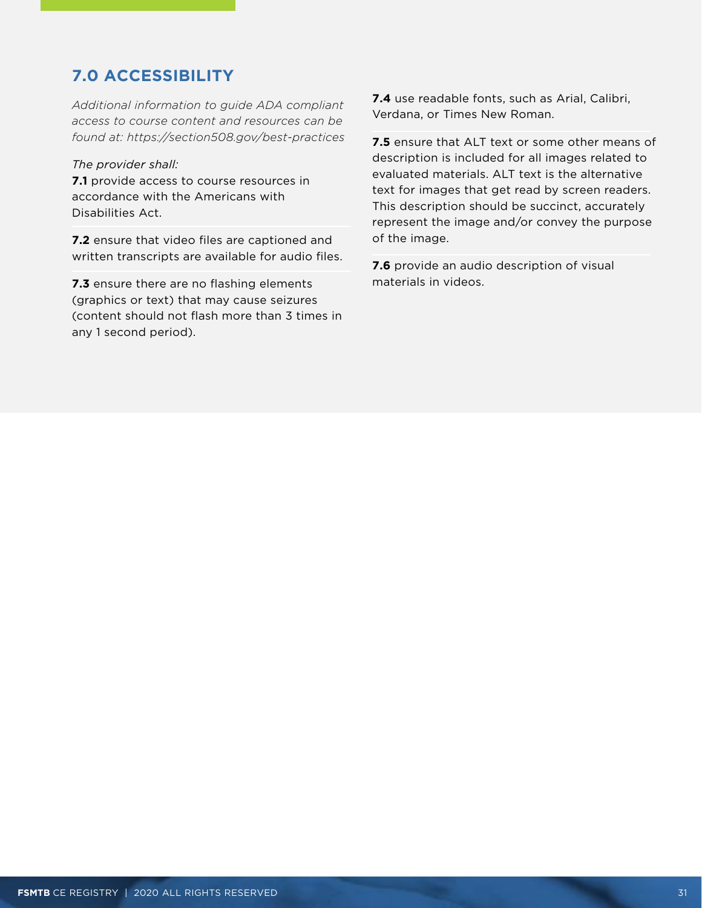## **7.0 ACCESSIBILITY**

*Additional information to guide ADA compliant access to course content and resources can be found at: https://section508.gov/best-practices* 

#### *The provider shall:*

**7.1** provide access to course resources in accordance with the Americans with Disabilities Act.

**7.2** ensure that video files are captioned and written transcripts are available for audio files.

**7.3** ensure there are no flashing elements (graphics or text) that may cause seizures (content should not flash more than 3 times in any 1 second period).

**7.4** use readable fonts, such as Arial, Calibri, Verdana, or Times New Roman.

**7.5** ensure that ALT text or some other means of description is included for all images related to evaluated materials. ALT text is the alternative text for images that get read by screen readers. This description should be succinct, accurately represent the image and/or convey the purpose of the image.

**7.6** provide an audio description of visual materials in videos.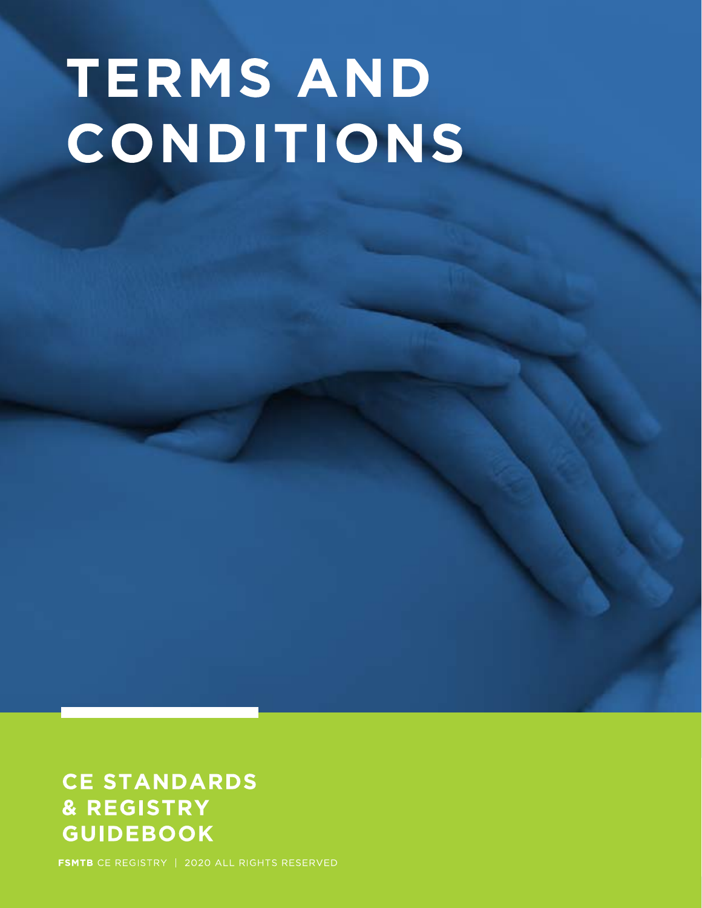# **TERMS AND** CONDITIONS

## **CE STANDARDS** & REGISTRY **GUIDEBOOK**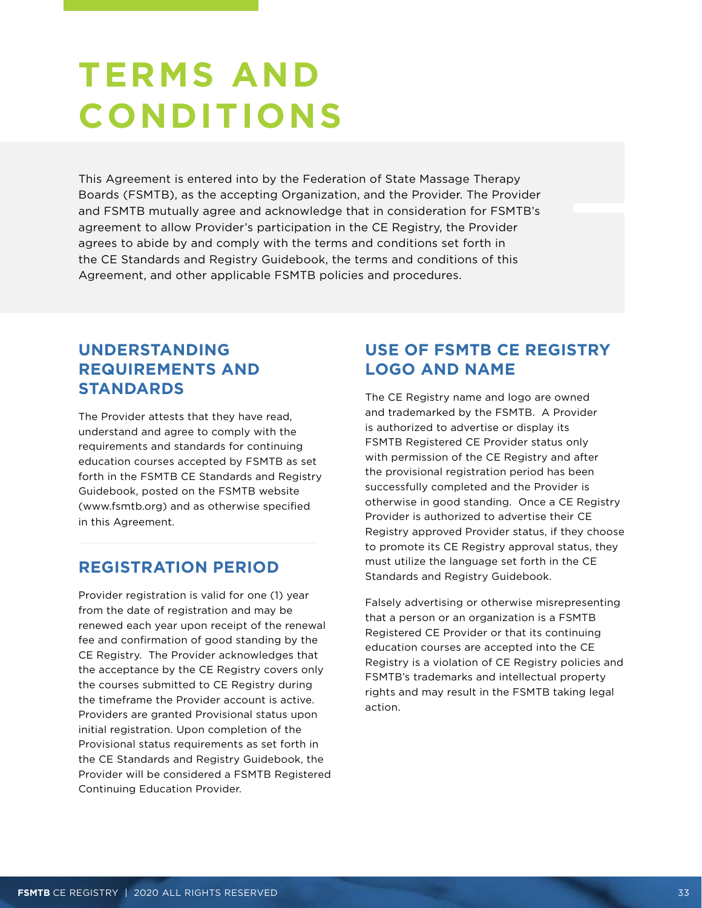## <span id="page-32-0"></span>**TERMS AND CONDITIONS**

This Agreement is entered into by the Federation of State Massage Therapy Boards (FSMTB), as the accepting Organization, and the Provider. The Provider and FSMTB mutually agree and acknowledge that in consideration for FSMTB's agreement to allow Provider's participation in the CE Registry, the Provider agrees to abide by and comply with the terms and conditions set forth in the CE Standards and Registry Guidebook, the terms and conditions of this Agreement, and other applicable FSMTB policies and procedures.

## **UNDERSTANDING REQUIREMENTS AND STANDARDS**

The Provider attests that they have read, understand and agree to comply with the requirements and standards for continuing education courses accepted by FSMTB as set forth in the FSMTB CE Standards and Registry Guidebook, posted on the FSMTB website (www.fsmtb.org) and as otherwise specified in this Agreement.

## **REGISTRATION PERIOD**

Provider registration is valid for one (1) year from the date of registration and may be renewed each year upon receipt of the renewal fee and confirmation of good standing by the CE Registry. The Provider acknowledges that the acceptance by the CE Registry covers only the courses submitted to CE Registry during the timeframe the Provider account is active. Providers are granted Provisional status upon initial registration. Upon completion of the Provisional status requirements as set forth in the CE Standards and Registry Guidebook, the Provider will be considered a FSMTB Registered Continuing Education Provider.

## **USE OF FSMTB CE REGISTRY LOGO AND NAME**

The CE Registry name and logo are owned and trademarked by the FSMTB. A Provider is authorized to advertise or display its FSMTB Registered CE Provider status only with permission of the CE Registry and after the provisional registration period has been successfully completed and the Provider is otherwise in good standing. Once a CE Registry Provider is authorized to advertise their CE Registry approved Provider status, if they choose to promote its CE Registry approval status, they must utilize the language set forth in the CE Standards and Registry Guidebook.

Falsely advertising or otherwise misrepresenting that a person or an organization is a FSMTB Registered CE Provider or that its continuing education courses are accepted into the CE Registry is a violation of CE Registry policies and FSMTB's trademarks and intellectual property rights and may result in the FSMTB taking legal action.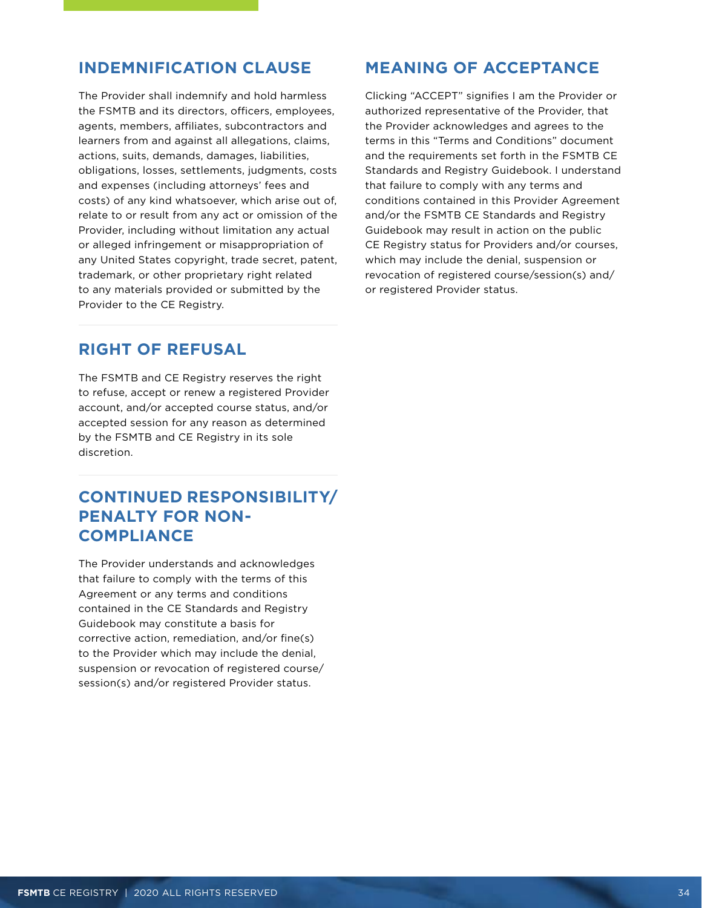### **INDEMNIFICATION CLAUSE**

The Provider shall indemnify and hold harmless the FSMTB and its directors, officers, employees, agents, members, affiliates, subcontractors and learners from and against all allegations, claims, actions, suits, demands, damages, liabilities, obligations, losses, settlements, judgments, costs and expenses (including attorneys' fees and costs) of any kind whatsoever, which arise out of, relate to or result from any act or omission of the Provider, including without limitation any actual or alleged infringement or misappropriation of any United States copyright, trade secret, patent, trademark, or other proprietary right related to any materials provided or submitted by the Provider to the CE Registry.

### **RIGHT OF REFUSAL**

The FSMTB and CE Registry reserves the right to refuse, accept or renew a registered Provider account, and/or accepted course status, and/or accepted session for any reason as determined by the FSMTB and CE Registry in its sole discretion.

## **CONTINUED RESPONSIBILITY/ PENALTY FOR NON-COMPLIANCE**

The Provider understands and acknowledges that failure to comply with the terms of this Agreement or any terms and conditions contained in the CE Standards and Registry Guidebook may constitute a basis for corrective action, remediation, and/or fine(s) to the Provider which may include the denial, suspension or revocation of registered course/ session(s) and/or registered Provider status.

## **MEANING OF ACCEPTANCE**

Clicking "ACCEPT" signifies I am the Provider or authorized representative of the Provider, that the Provider acknowledges and agrees to the terms in this "Terms and Conditions" document and the requirements set forth in the FSMTB CE Standards and Registry Guidebook. I understand that failure to comply with any terms and conditions contained in this Provider Agreement and/or the FSMTB CE Standards and Registry Guidebook may result in action on the public CE Registry status for Providers and/or courses, which may include the denial, suspension or revocation of registered course/session(s) and/ or registered Provider status.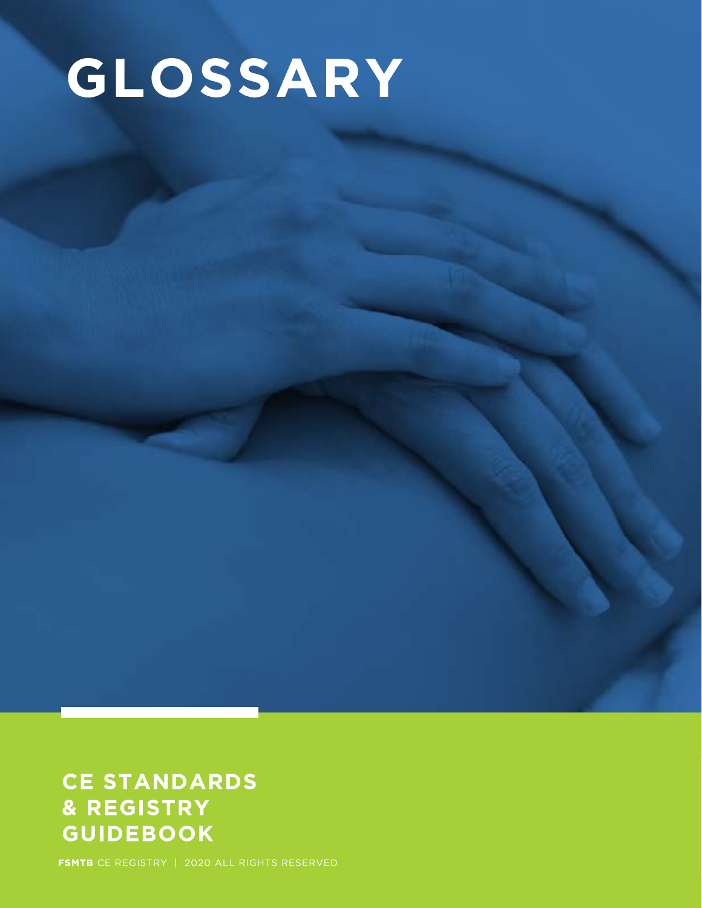# GLOSSARY

## **CE STANDARDS** & REGISTRY **GUIDEBOOK**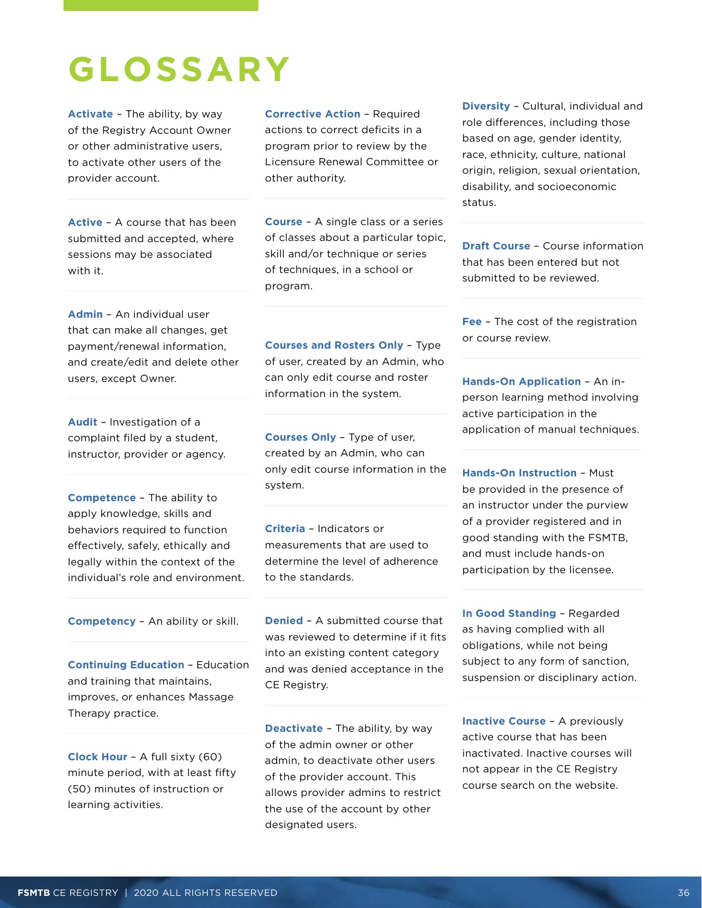## <span id="page-35-0"></span>**GLOSSARY**

**Activate** – The ability, by way of the Registry Account Owner or other administrative users, to activate other users of the provider account.

**Active** – A course that has been submitted and accepted, where sessions may be associated with it.

**Corrective Action** – Required actions to correct deficits in a program prior to review by the Licensure Renewal Committee or other authority.

**Course** – A single class or a series of classes about a particular topic, skill and/or technique or series of techniques, in a school or program.

**Admin** – An individual user that can make all changes, get payment/renewal information, and create/edit and delete other users, except Owner.

**Audit** – Investigation of a complaint filed by a student, instructor, provider or agency.

**Competence** – The ability to apply knowledge, skills and behaviors required to function effectively, safely, ethically and legally within the context of the individual's role and environment.

**Competency** – An ability or skill.

**Continuing Education** – Education and training that maintains, improves, or enhances Massage Therapy practice.

**Clock Hour** – A full sixty (60) minute period, with at least fifty (50) minutes of instruction or learning activities.

**Courses and Rosters Only** – Type of user, created by an Admin, who can only edit course and roster information in the system.

**Courses Only** – Type of user, created by an Admin, who can only edit course information in the system.

**Criteria** – Indicators or measurements that are used to determine the level of adherence to the standards.

**Denied** – A submitted course that was reviewed to determine if it fits into an existing content category and was denied acceptance in the CE Registry.

**Deactivate** – The ability, by way of the admin owner or other admin, to deactivate other users of the provider account. This allows provider admins to restrict the use of the account by other designated users.

**Diversity** – Cultural, individual and role differences, including those based on age, gender identity, race, ethnicity, culture, national origin, religion, sexual orientation, disability, and socioeconomic status.

**Draft Course** – Course information that has been entered but not submitted to be reviewed.

**Fee** – The cost of the registration or course review.

**Hands-On Application** – An inperson learning method involving active participation in the application of manual techniques.

**Hands-On Instruction** – Must be provided in the presence of an instructor under the purview of a provider registered and in good standing with the FSMTB, and must include hands-on participation by the licensee.

**In Good Standing** – Regarded as having complied with all obligations, while not being subject to any form of sanction, suspension or disciplinary action.

**Inactive Course - A previously** active course that has been inactivated. Inactive courses will not appear in the CE Registry course search on the website.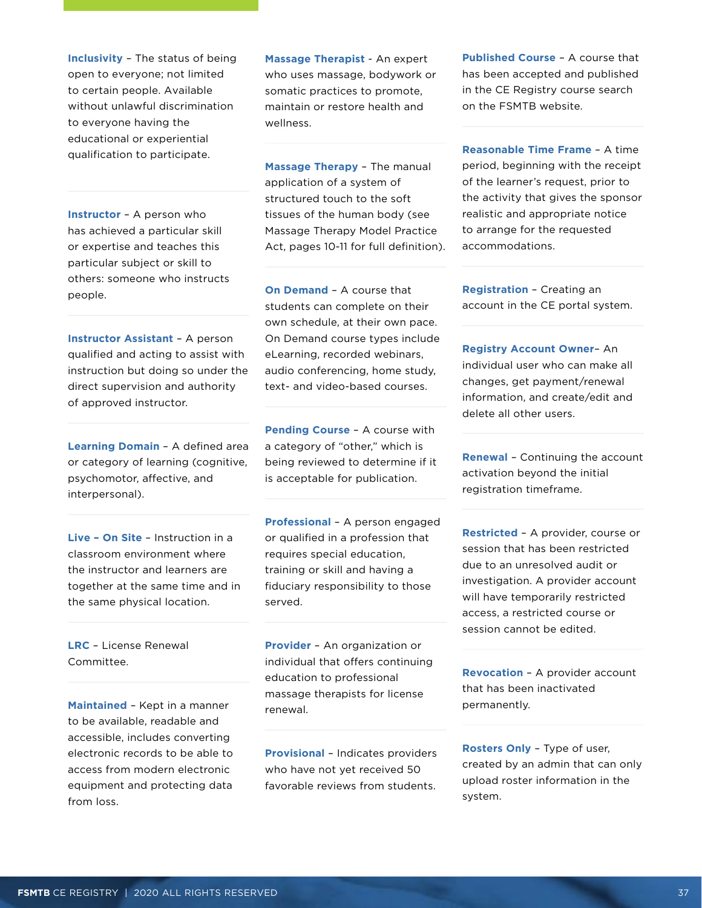**Inclusivity** – The status of being open to everyone; not limited to certain people. Available without unlawful discrimination to everyone having the educational or experiential qualification to participate.

**Instructor** – A person who has achieved a particular skill or expertise and teaches this particular subject or skill to others: someone who instructs people.

**Instructor Assistant** – A person qualified and acting to assist with instruction but doing so under the direct supervision and authority of approved instructor.

**Learning Domain** – A defined area or category of learning (cognitive, psychomotor, affective, and interpersonal).

**Live – On Site** – Instruction in a classroom environment where the instructor and learners are together at the same time and in the same physical location.

**LRC** – License Renewal Committee.

**Maintained** – Kept in a manner to be available, readable and accessible, includes converting electronic records to be able to access from modern electronic equipment and protecting data from loss.

**Massage Therapist** - An expert who uses massage, bodywork or somatic practices to promote, maintain or restore health and wellness.

**Massage Therapy** – The manual application of a system of structured touch to the soft tissues of the human body (see Massage Therapy Model Practice Act, pages 10-11 for full definition).

**On Demand** – A course that students can complete on their own schedule, at their own pace. On Demand course types include eLearning, recorded webinars, audio conferencing, home study, text- and video-based courses.

**Pending Course** – A course with a category of "other," which is being reviewed to determine if it is acceptable for publication.

**Professional** – A person engaged or qualified in a profession that requires special education, training or skill and having a fiduciary responsibility to those served.

**Provider** – An organization or individual that offers continuing education to professional massage therapists for license renewal.

**Provisional** – Indicates providers who have not yet received 50 favorable reviews from students.

**Published Course** – A course that has been accepted and published in the CE Registry course search on the FSMTB website.

**Reasonable Time Frame** – A time period, beginning with the receipt of the learner's request, prior to the activity that gives the sponsor realistic and appropriate notice to arrange for the requested accommodations.

**Registration** – Creating an account in the CE portal system.

**Registry Account Owner**– An individual user who can make all changes, get payment/renewal information, and create/edit and delete all other users.

**Renewal** – Continuing the account activation beyond the initial registration timeframe.

**Restricted** – A provider, course or session that has been restricted due to an unresolved audit or investigation. A provider account will have temporarily restricted access, a restricted course or session cannot be edited.

**Revocation** – A provider account that has been inactivated permanently.

**Rosters Only** – Type of user, created by an admin that can only upload roster information in the system.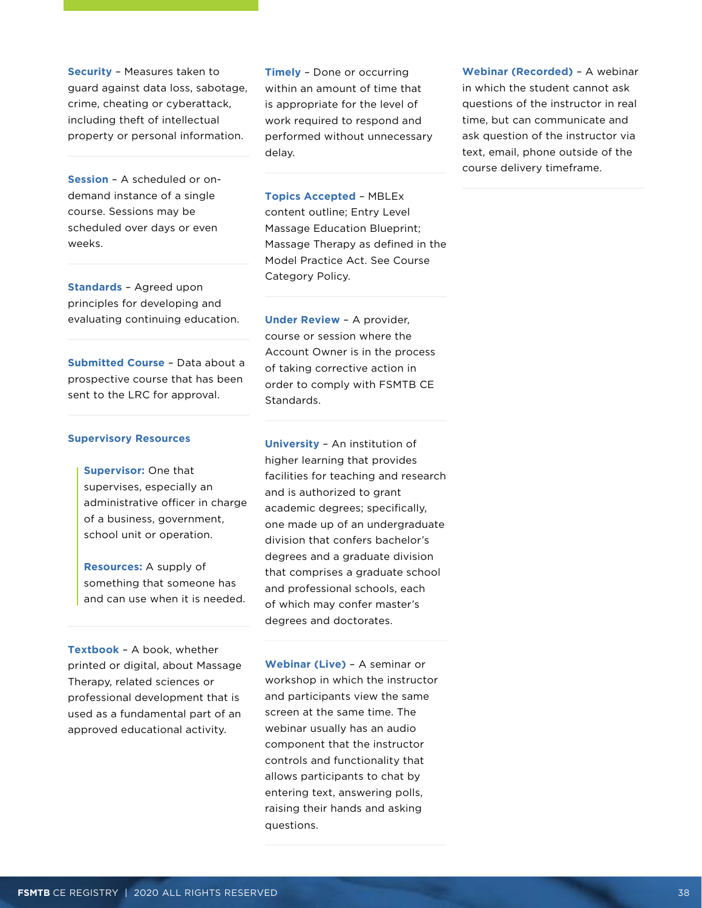**Security** – Measures taken to guard against data loss, sabotage, crime, cheating or cyberattack, including theft of intellectual property or personal information.

**Session** – A scheduled or ondemand instance of a single course. Sessions may be scheduled over days or even weeks.

**Standards** – Agreed upon principles for developing and evaluating continuing education.

**Submitted Course** – Data about a prospective course that has been sent to the LRC for approval.

#### **Supervisory Resources**

**Supervisor:** One that supervises, especially an administrative officer in charge of a business, government, school unit or operation.

**Resources:** A supply of something that someone has and can use when it is needed.

**Textbook** – A book, whether printed or digital, about Massage Therapy, related sciences or professional development that is used as a fundamental part of an approved educational activity.

**Timely** – Done or occurring within an amount of time that is appropriate for the level of work required to respond and performed without unnecessary delay.

**Topics Accepted** – MBLEx content outline; Entry Level Massage Education Blueprint; Massage Therapy as defined in the Model Practice Act. See Course Category Policy.

**Under Review** – A provider, course or session where the Account Owner is in the process of taking corrective action in order to comply with FSMTB CE Standards.

**University** – An institution of higher learning that provides facilities for teaching and research and is authorized to grant academic degrees; specifically, one made up of an undergraduate division that confers bachelor's degrees and a graduate division that comprises a graduate school and professional schools, each of which may confer master's degrees and doctorates.

**Webinar (Live)** – A seminar or workshop in which the instructor and participants view the same screen at the same time. The webinar usually has an audio component that the instructor controls and functionality that allows participants to chat by entering text, answering polls, raising their hands and asking questions.

**Webinar (Recorded)** – A webinar in which the student cannot ask questions of the instructor in real time, but can communicate and ask question of the instructor via text, email, phone outside of the course delivery timeframe.